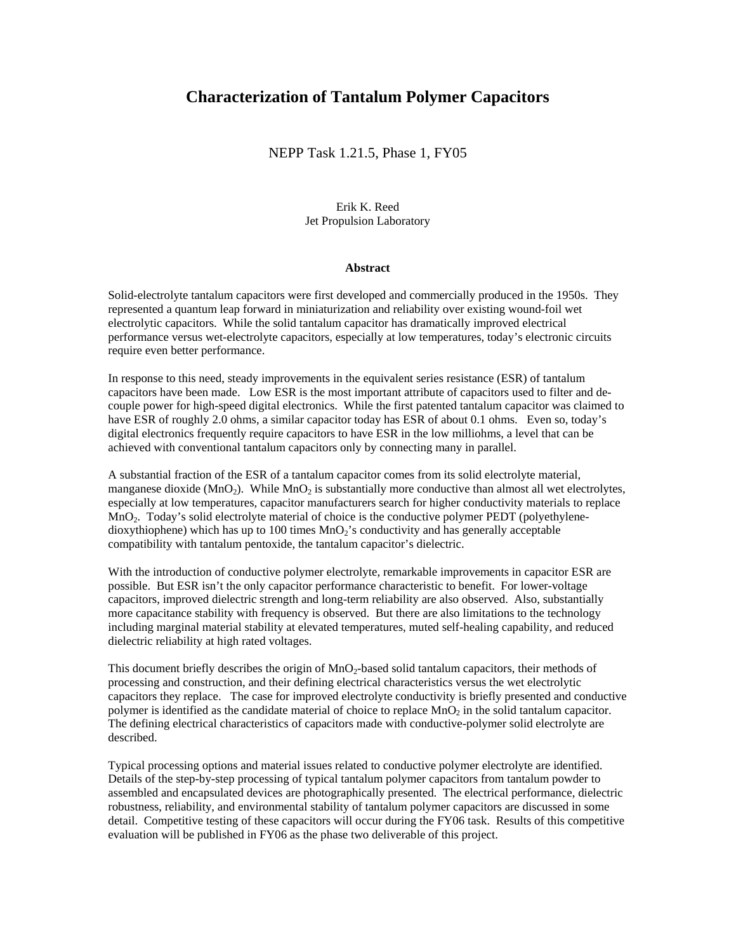# **Characterization of Tantalum Polymer Capacitors**

NEPP Task 1.21.5, Phase 1, FY05

Erik K. Reed Jet Propulsion Laboratory

#### **Abstract**

Solid-electrolyte tantalum capacitors were first developed and commercially produced in the 1950s. They represented a quantum leap forward in miniaturization and reliability over existing wound-foil wet electrolytic capacitors. While the solid tantalum capacitor has dramatically improved electrical performance versus wet-electrolyte capacitors, especially at low temperatures, today's electronic circuits require even better performance.

In response to this need, steady improvements in the equivalent series resistance (ESR) of tantalum capacitors have been made. Low ESR is the most important attribute of capacitors used to filter and decouple power for high-speed digital electronics. While the first patented tantalum capacitor was claimed to have ESR of roughly 2.0 ohms, a similar capacitor today has ESR of about 0.1 ohms. Even so, today's digital electronics frequently require capacitors to have ESR in the low milliohms, a level that can be achieved with conventional tantalum capacitors only by connecting many in parallel.

A substantial fraction of the ESR of a tantalum capacitor comes from its solid electrolyte material, manganese dioxide ( $MnO<sub>2</sub>$ ). While  $MnO<sub>2</sub>$  is substantially more conductive than almost all wet electrolytes, especially at low temperatures, capacitor manufacturers search for higher conductivity materials to replace MnO<sub>2</sub>. Today's solid electrolyte material of choice is the conductive polymer PEDT (polyethylenedioxythiophene) which has up to 100 times  $MnO<sub>2</sub>$ 's conductivity and has generally acceptable compatibility with tantalum pentoxide, the tantalum capacitor's dielectric.

With the introduction of conductive polymer electrolyte, remarkable improvements in capacitor ESR are possible. But ESR isn't the only capacitor performance characteristic to benefit. For lower-voltage capacitors, improved dielectric strength and long-term reliability are also observed. Also, substantially more capacitance stability with frequency is observed. But there are also limitations to the technology including marginal material stability at elevated temperatures, muted self-healing capability, and reduced dielectric reliability at high rated voltages.

This document briefly describes the origin of MnO<sub>2</sub>-based solid tantalum capacitors, their methods of processing and construction, and their defining electrical characteristics versus the wet electrolytic capacitors they replace. The case for improved electrolyte conductivity is briefly presented and conductive polymer is identified as the candidate material of choice to replace  $MnO<sub>2</sub>$  in the solid tantalum capacitor. The defining electrical characteristics of capacitors made with conductive-polymer solid electrolyte are described.

Typical processing options and material issues related to conductive polymer electrolyte are identified. Details of the step-by-step processing of typical tantalum polymer capacitors from tantalum powder to assembled and encapsulated devices are photographically presented. The electrical performance, dielectric robustness, reliability, and environmental stability of tantalum polymer capacitors are discussed in some detail. Competitive testing of these capacitors will occur during the FY06 task. Results of this competitive evaluation will be published in FY06 as the phase two deliverable of this project.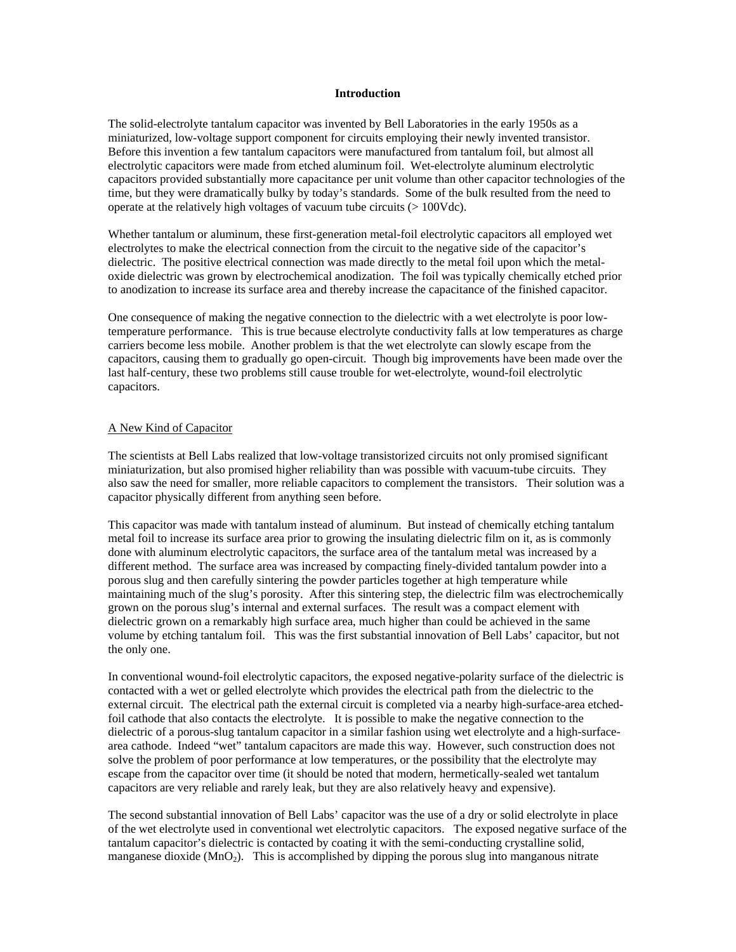# **Introduction**

The solid-electrolyte tantalum capacitor was invented by Bell Laboratories in the early 1950s as a miniaturized, low-voltage support component for circuits employing their newly invented transistor. Before this invention a few tantalum capacitors were manufactured from tantalum foil, but almost all electrolytic capacitors were made from etched aluminum foil. Wet-electrolyte aluminum electrolytic capacitors provided substantially more capacitance per unit volume than other capacitor technologies of the time, but they were dramatically bulky by today's standards. Some of the bulk resulted from the need to operate at the relatively high voltages of vacuum tube circuits (> 100Vdc).

Whether tantalum or aluminum, these first-generation metal-foil electrolytic capacitors all employed wet electrolytes to make the electrical connection from the circuit to the negative side of the capacitor's dielectric. The positive electrical connection was made directly to the metal foil upon which the metaloxide dielectric was grown by electrochemical anodization. The foil was typically chemically etched prior to anodization to increase its surface area and thereby increase the capacitance of the finished capacitor.

One consequence of making the negative connection to the dielectric with a wet electrolyte is poor lowtemperature performance. This is true because electrolyte conductivity falls at low temperatures as charge carriers become less mobile. Another problem is that the wet electrolyte can slowly escape from the capacitors, causing them to gradually go open-circuit. Though big improvements have been made over the last half-century, these two problems still cause trouble for wet-electrolyte, wound-foil electrolytic capacitors.

#### A New Kind of Capacitor

The scientists at Bell Labs realized that low-voltage transistorized circuits not only promised significant miniaturization, but also promised higher reliability than was possible with vacuum-tube circuits. They also saw the need for smaller, more reliable capacitors to complement the transistors. Their solution was a capacitor physically different from anything seen before.

This capacitor was made with tantalum instead of aluminum. But instead of chemically etching tantalum metal foil to increase its surface area prior to growing the insulating dielectric film on it, as is commonly done with aluminum electrolytic capacitors, the surface area of the tantalum metal was increased by a different method. The surface area was increased by compacting finely-divided tantalum powder into a porous slug and then carefully sintering the powder particles together at high temperature while maintaining much of the slug's porosity. After this sintering step, the dielectric film was electrochemically grown on the porous slug's internal and external surfaces. The result was a compact element with dielectric grown on a remarkably high surface area, much higher than could be achieved in the same volume by etching tantalum foil. This was the first substantial innovation of Bell Labs' capacitor, but not the only one.

In conventional wound-foil electrolytic capacitors, the exposed negative-polarity surface of the dielectric is contacted with a wet or gelled electrolyte which provides the electrical path from the dielectric to the external circuit. The electrical path the external circuit is completed via a nearby high-surface-area etchedfoil cathode that also contacts the electrolyte. It is possible to make the negative connection to the dielectric of a porous-slug tantalum capacitor in a similar fashion using wet electrolyte and a high-surfacearea cathode. Indeed "wet" tantalum capacitors are made this way. However, such construction does not solve the problem of poor performance at low temperatures, or the possibility that the electrolyte may escape from the capacitor over time (it should be noted that modern, hermetically-sealed wet tantalum capacitors are very reliable and rarely leak, but they are also relatively heavy and expensive).

The second substantial innovation of Bell Labs' capacitor was the use of a dry or solid electrolyte in place of the wet electrolyte used in conventional wet electrolytic capacitors. The exposed negative surface of the tantalum capacitor's dielectric is contacted by coating it with the semi-conducting crystalline solid, manganese dioxide  $(MnO<sub>2</sub>)$ . This is accomplished by dipping the porous slug into manganous nitrate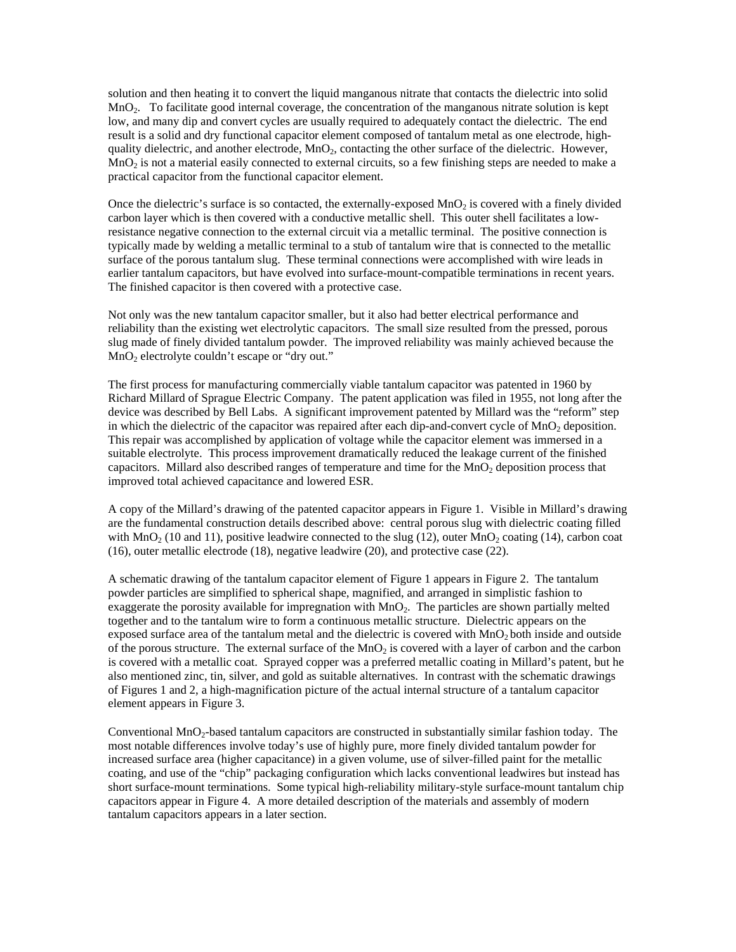solution and then heating it to convert the liquid manganous nitrate that contacts the dielectric into solid MnO<sub>2</sub>. To facilitate good internal coverage, the concentration of the manganous nitrate solution is kept low, and many dip and convert cycles are usually required to adequately contact the dielectric. The end result is a solid and dry functional capacitor element composed of tantalum metal as one electrode, highquality dielectric, and another electrode,  $MnO<sub>2</sub>$ , contacting the other surface of the dielectric. However,  $MnO<sub>2</sub>$  is not a material easily connected to external circuits, so a few finishing steps are needed to make a practical capacitor from the functional capacitor element.

Once the dielectric's surface is so contacted, the externally-exposed  $MnO<sub>2</sub>$  is covered with a finely divided carbon layer which is then covered with a conductive metallic shell. This outer shell facilitates a lowresistance negative connection to the external circuit via a metallic terminal. The positive connection is typically made by welding a metallic terminal to a stub of tantalum wire that is connected to the metallic surface of the porous tantalum slug. These terminal connections were accomplished with wire leads in earlier tantalum capacitors, but have evolved into surface-mount-compatible terminations in recent years. The finished capacitor is then covered with a protective case.

Not only was the new tantalum capacitor smaller, but it also had better electrical performance and reliability than the existing wet electrolytic capacitors. The small size resulted from the pressed, porous slug made of finely divided tantalum powder. The improved reliability was mainly achieved because the  $MnO<sub>2</sub>$  electrolyte couldn't escape or "dry out."

The first process for manufacturing commercially viable tantalum capacitor was patented in 1960 by Richard Millard of Sprague Electric Company. The patent application was filed in 1955, not long after the device was described by Bell Labs. A significant improvement patented by Millard was the "reform" step in which the dielectric of the capacitor was repaired after each dip-and-convert cycle of  $MnO<sub>2</sub>$  deposition. This repair was accomplished by application of voltage while the capacitor element was immersed in a suitable electrolyte. This process improvement dramatically reduced the leakage current of the finished capacitors. Millard also described ranges of temperature and time for the  $MnO<sub>2</sub>$  deposition process that improved total achieved capacitance and lowered ESR.

A copy of the Millard's drawing of the patented capacitor appears in Figure 1. Visible in Millard's drawing are the fundamental construction details described above: central porous slug with dielectric coating filled with  $MnO<sub>2</sub>$  (10 and 11), positive leadwire connected to the slug (12), outer  $MnO<sub>2</sub>$  coating (14), carbon coat (16), outer metallic electrode (18), negative leadwire (20), and protective case (22).

A schematic drawing of the tantalum capacitor element of Figure 1 appears in Figure 2. The tantalum powder particles are simplified to spherical shape, magnified, and arranged in simplistic fashion to exaggerate the porosity available for impregnation with MnO<sub>2</sub>. The particles are shown partially melted together and to the tantalum wire to form a continuous metallic structure. Dielectric appears on the exposed surface area of the tantalum metal and the dielectric is covered with  $MnO<sub>2</sub>$  both inside and outside of the porous structure. The external surface of the  $MnO<sub>2</sub>$  is covered with a layer of carbon and the carbon is covered with a metallic coat. Sprayed copper was a preferred metallic coating in Millard's patent, but he also mentioned zinc, tin, silver, and gold as suitable alternatives. In contrast with the schematic drawings of Figures 1 and 2, a high-magnification picture of the actual internal structure of a tantalum capacitor element appears in Figure 3.

Conventional MnO<sub>2</sub>-based tantalum capacitors are constructed in substantially similar fashion today. The most notable differences involve today's use of highly pure, more finely divided tantalum powder for increased surface area (higher capacitance) in a given volume, use of silver-filled paint for the metallic coating, and use of the "chip" packaging configuration which lacks conventional leadwires but instead has short surface-mount terminations. Some typical high-reliability military-style surface-mount tantalum chip capacitors appear in Figure 4. A more detailed description of the materials and assembly of modern tantalum capacitors appears in a later section.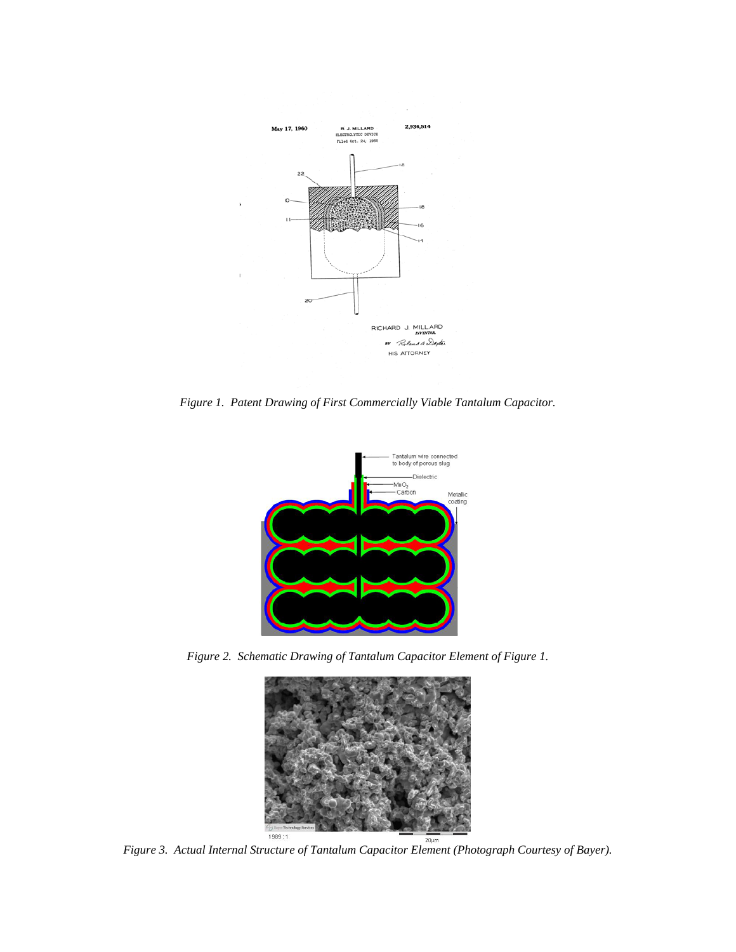

*Figure 1. Patent Drawing of First Commercially Viable Tantalum Capacitor.* 



*Figure 2. Schematic Drawing of Tantalum Capacitor Element of Figure 1.* 



<sup>1989</sup><sup>1989</sup><br>*Figure 3. Actual Internal Structure of Tantalum Capacitor Element (Photograph Courtesy of Bayer).*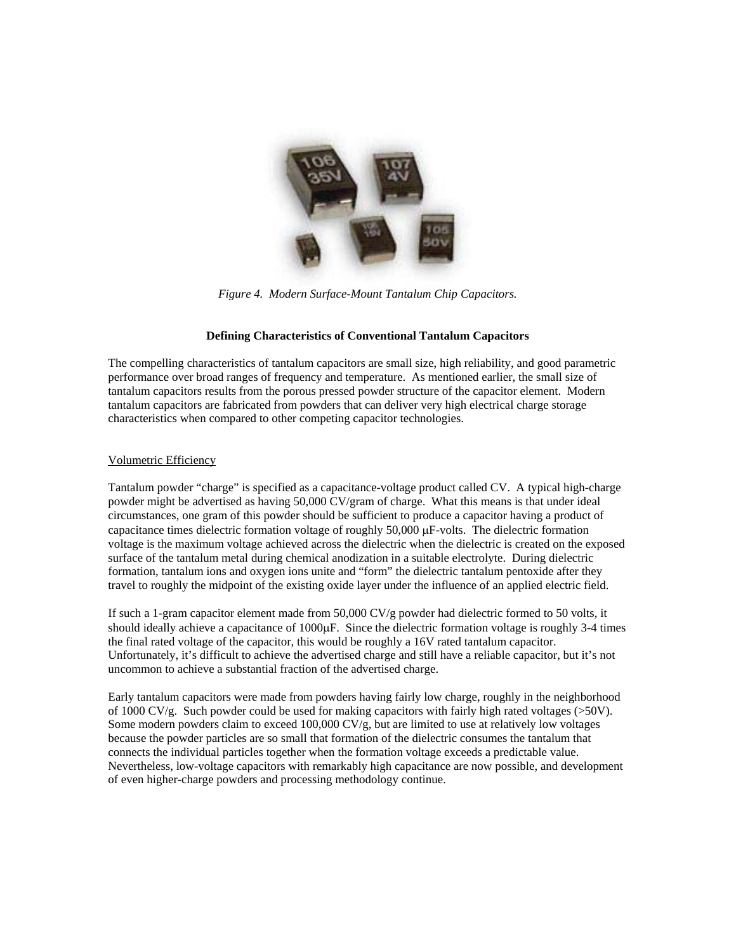

*Figure 4. Modern Surface-Mount Tantalum Chip Capacitors.* 

# **Defining Characteristics of Conventional Tantalum Capacitors**

The compelling characteristics of tantalum capacitors are small size, high reliability, and good parametric performance over broad ranges of frequency and temperature. As mentioned earlier, the small size of tantalum capacitors results from the porous pressed powder structure of the capacitor element. Modern tantalum capacitors are fabricated from powders that can deliver very high electrical charge storage characteristics when compared to other competing capacitor technologies.

### Volumetric Efficiency

Tantalum powder "charge" is specified as a capacitance-voltage product called CV. A typical high-charge powder might be advertised as having 50,000 CV/gram of charge. What this means is that under ideal circumstances, one gram of this powder should be sufficient to produce a capacitor having a product of capacitance times dielectric formation voltage of roughly 50,000 µF-volts. The dielectric formation voltage is the maximum voltage achieved across the dielectric when the dielectric is created on the exposed surface of the tantalum metal during chemical anodization in a suitable electrolyte. During dielectric formation, tantalum ions and oxygen ions unite and "form" the dielectric tantalum pentoxide after they travel to roughly the midpoint of the existing oxide layer under the influence of an applied electric field.

If such a 1-gram capacitor element made from 50,000 CV/g powder had dielectric formed to 50 volts, it should ideally achieve a capacitance of 1000 $\mu$ F. Since the dielectric formation voltage is roughly 3-4 times the final rated voltage of the capacitor, this would be roughly a 16V rated tantalum capacitor. Unfortunately, it's difficult to achieve the advertised charge and still have a reliable capacitor, but it's not uncommon to achieve a substantial fraction of the advertised charge.

Early tantalum capacitors were made from powders having fairly low charge, roughly in the neighborhood of 1000 CV/g. Such powder could be used for making capacitors with fairly high rated voltages ( $>50V$ ). Some modern powders claim to exceed 100,000 CV/g, but are limited to use at relatively low voltages because the powder particles are so small that formation of the dielectric consumes the tantalum that connects the individual particles together when the formation voltage exceeds a predictable value. Nevertheless, low-voltage capacitors with remarkably high capacitance are now possible, and development of even higher-charge powders and processing methodology continue.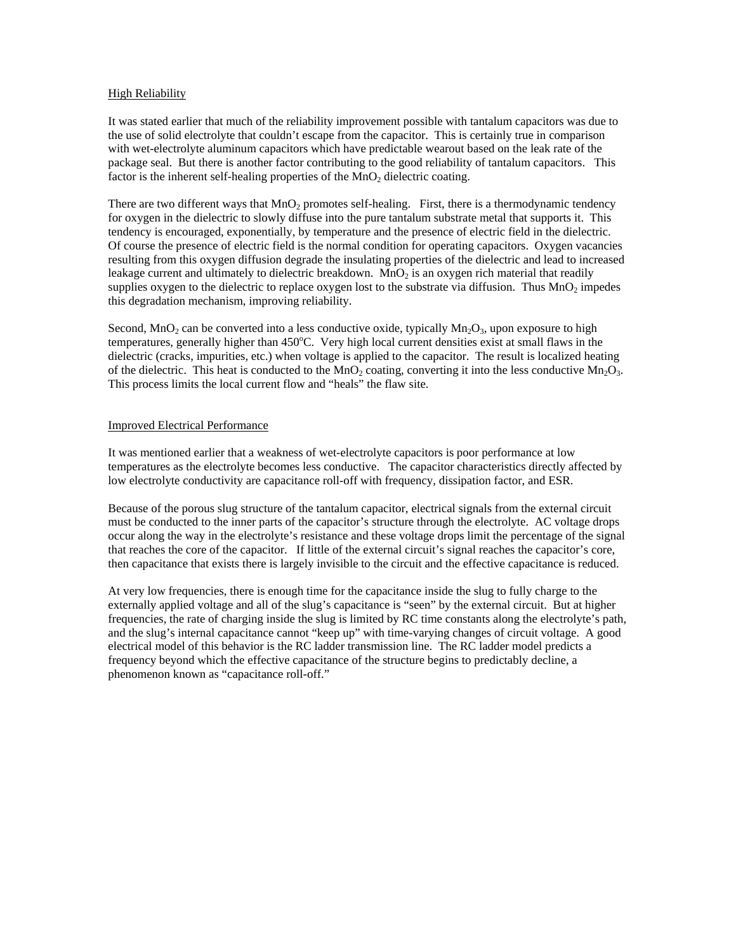# **High Reliability**

It was stated earlier that much of the reliability improvement possible with tantalum capacitors was due to the use of solid electrolyte that couldn't escape from the capacitor. This is certainly true in comparison with wet-electrolyte aluminum capacitors which have predictable wearout based on the leak rate of the package seal. But there is another factor contributing to the good reliability of tantalum capacitors. This factor is the inherent self-healing properties of the  $MnO<sub>2</sub>$  dielectric coating.

There are two different ways that MnO<sub>2</sub> promotes self-healing. First, there is a thermodynamic tendency for oxygen in the dielectric to slowly diffuse into the pure tantalum substrate metal that supports it. This tendency is encouraged, exponentially, by temperature and the presence of electric field in the dielectric. Of course the presence of electric field is the normal condition for operating capacitors. Oxygen vacancies resulting from this oxygen diffusion degrade the insulating properties of the dielectric and lead to increased leakage current and ultimately to dielectric breakdown.  $MnO<sub>2</sub>$  is an oxygen rich material that readily supplies oxygen to the dielectric to replace oxygen lost to the substrate via diffusion. Thus  $MnO<sub>2</sub>$  impedes this degradation mechanism, improving reliability.

Second, MnO<sub>2</sub> can be converted into a less conductive oxide, typically Mn<sub>2</sub>O<sub>3</sub>, upon exposure to high temperatures, generally higher than 450°C. Very high local current densities exist at small flaws in the dielectric (cracks, impurities, etc.) when voltage is applied to the capacitor. The result is localized heating of the dielectric. This heat is conducted to the  $MnO<sub>2</sub>$  coating, converting it into the less conductive  $Mn<sub>2</sub>O<sub>3</sub>$ . This process limits the local current flow and "heals" the flaw site.

# Improved Electrical Performance

It was mentioned earlier that a weakness of wet-electrolyte capacitors is poor performance at low temperatures as the electrolyte becomes less conductive. The capacitor characteristics directly affected by low electrolyte conductivity are capacitance roll-off with frequency, dissipation factor, and ESR.

Because of the porous slug structure of the tantalum capacitor, electrical signals from the external circuit must be conducted to the inner parts of the capacitor's structure through the electrolyte. AC voltage drops occur along the way in the electrolyte's resistance and these voltage drops limit the percentage of the signal that reaches the core of the capacitor. If little of the external circuit's signal reaches the capacitor's core, then capacitance that exists there is largely invisible to the circuit and the effective capacitance is reduced.

At very low frequencies, there is enough time for the capacitance inside the slug to fully charge to the externally applied voltage and all of the slug's capacitance is "seen" by the external circuit. But at higher frequencies, the rate of charging inside the slug is limited by RC time constants along the electrolyte's path, and the slug's internal capacitance cannot "keep up" with time-varying changes of circuit voltage. A good electrical model of this behavior is the RC ladder transmission line. The RC ladder model predicts a frequency beyond which the effective capacitance of the structure begins to predictably decline, a phenomenon known as "capacitance roll-off."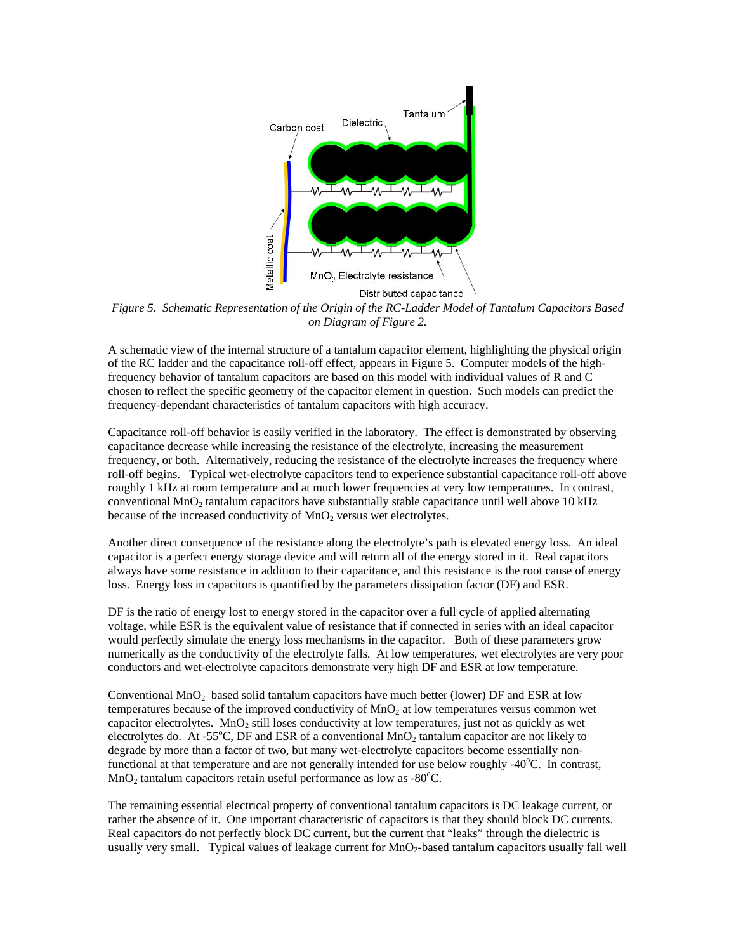

*Figure 5. Schematic Representation of the Origin of the RC-Ladder Model of Tantalum Capacitors Based on Diagram of Figure 2.* 

A schematic view of the internal structure of a tantalum capacitor element, highlighting the physical origin of the RC ladder and the capacitance roll-off effect, appears in Figure 5. Computer models of the highfrequency behavior of tantalum capacitors are based on this model with individual values of R and C chosen to reflect the specific geometry of the capacitor element in question. Such models can predict the frequency-dependant characteristics of tantalum capacitors with high accuracy.

Capacitance roll-off behavior is easily verified in the laboratory. The effect is demonstrated by observing capacitance decrease while increasing the resistance of the electrolyte, increasing the measurement frequency, or both. Alternatively, reducing the resistance of the electrolyte increases the frequency where roll-off begins. Typical wet-electrolyte capacitors tend to experience substantial capacitance roll-off above roughly 1 kHz at room temperature and at much lower frequencies at very low temperatures. In contrast, conventional MnO<sub>2</sub> tantalum capacitors have substantially stable capacitance until well above 10 kHz because of the increased conductivity of  $MnO<sub>2</sub>$  versus wet electrolytes.

Another direct consequence of the resistance along the electrolyte's path is elevated energy loss. An ideal capacitor is a perfect energy storage device and will return all of the energy stored in it. Real capacitors always have some resistance in addition to their capacitance, and this resistance is the root cause of energy loss. Energy loss in capacitors is quantified by the parameters dissipation factor (DF) and ESR.

DF is the ratio of energy lost to energy stored in the capacitor over a full cycle of applied alternating voltage, while ESR is the equivalent value of resistance that if connected in series with an ideal capacitor would perfectly simulate the energy loss mechanisms in the capacitor. Both of these parameters grow numerically as the conductivity of the electrolyte falls. At low temperatures, wet electrolytes are very poor conductors and wet-electrolyte capacitors demonstrate very high DF and ESR at low temperature.

Conventional  $MnO<sub>2</sub>$ -based solid tantalum capacitors have much better (lower) DF and ESR at low temperatures because of the improved conductivity of  $MnO<sub>2</sub>$  at low temperatures versus common wet capacitor electrolytes. MnO<sub>2</sub> still loses conductivity at low temperatures, just not as quickly as wet electrolytes do. At -55°C, DF and ESR of a conventional  $MnO<sub>2</sub>$  tantalum capacitor are not likely to degrade by more than a factor of two, but many wet-electrolyte capacitors become essentially nonfunctional at that temperature and are not generally intended for use below roughly -40°C. In contrast,  $MnO<sub>2</sub>$  tantalum capacitors retain useful performance as low as -80 $^{\circ}$ C.

The remaining essential electrical property of conventional tantalum capacitors is DC leakage current, or rather the absence of it. One important characteristic of capacitors is that they should block DC currents. Real capacitors do not perfectly block DC current, but the current that "leaks" through the dielectric is usually very small. Typical values of leakage current for  $MnO<sub>2</sub>$ -based tantalum capacitors usually fall well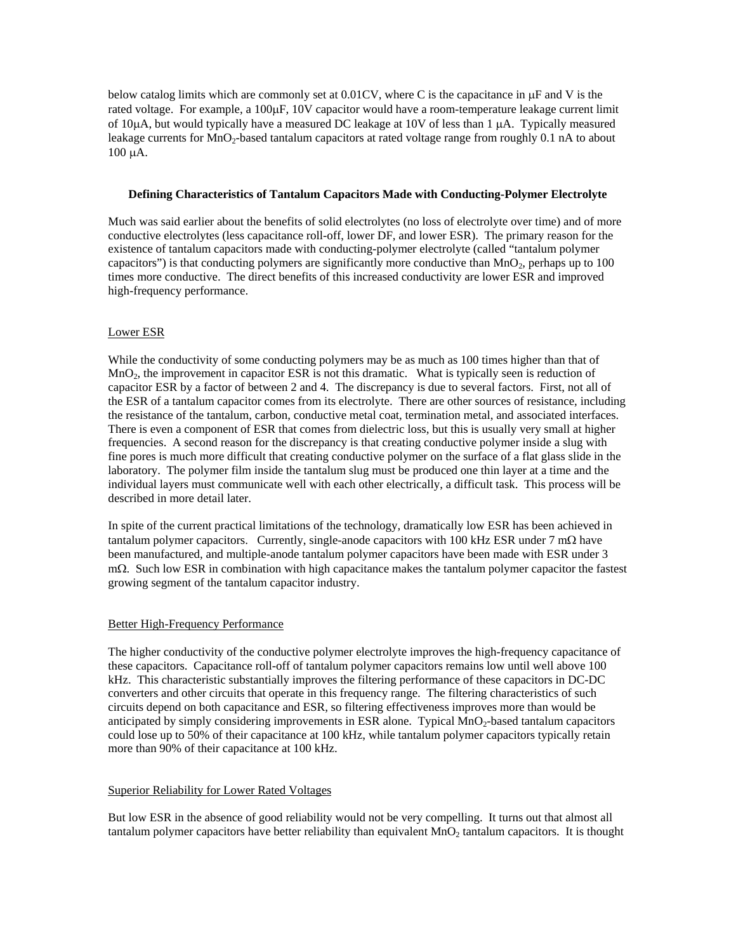below catalog limits which are commonly set at 0.01CV, where C is the capacitance in  $\mu$ F and V is the rated voltage. For example, a 100µF, 10V capacitor would have a room-temperature leakage current limit of 10µA, but would typically have a measured DC leakage at 10V of less than 1 µA. Typically measured leakage currents for MnO<sub>2</sub>-based tantalum capacitors at rated voltage range from roughly 0.1 nA to about 100 µA.

# **Defining Characteristics of Tantalum Capacitors Made with Conducting-Polymer Electrolyte**

Much was said earlier about the benefits of solid electrolytes (no loss of electrolyte over time) and of more conductive electrolytes (less capacitance roll-off, lower DF, and lower ESR). The primary reason for the existence of tantalum capacitors made with conducting-polymer electrolyte (called "tantalum polymer capacitors") is that conducting polymers are significantly more conductive than  $MnO<sub>2</sub>$ , perhaps up to 100 times more conductive. The direct benefits of this increased conductivity are lower ESR and improved high-frequency performance.

### Lower ESR

While the conductivity of some conducting polymers may be as much as 100 times higher than that of  $MnO<sub>2</sub>$ , the improvement in capacitor ESR is not this dramatic. What is typically seen is reduction of capacitor ESR by a factor of between 2 and 4. The discrepancy is due to several factors. First, not all of the ESR of a tantalum capacitor comes from its electrolyte. There are other sources of resistance, including the resistance of the tantalum, carbon, conductive metal coat, termination metal, and associated interfaces. There is even a component of ESR that comes from dielectric loss, but this is usually very small at higher frequencies. A second reason for the discrepancy is that creating conductive polymer inside a slug with fine pores is much more difficult that creating conductive polymer on the surface of a flat glass slide in the laboratory. The polymer film inside the tantalum slug must be produced one thin layer at a time and the individual layers must communicate well with each other electrically, a difficult task. This process will be described in more detail later.

In spite of the current practical limitations of the technology, dramatically low ESR has been achieved in tantalum polymer capacitors. Currently, single-anode capacitors with 100 kHz ESR under  $7 \text{ m}\Omega$  have been manufactured, and multiple-anode tantalum polymer capacitors have been made with ESR under 3 mΩ. Such low ESR in combination with high capacitance makes the tantalum polymer capacitor the fastest growing segment of the tantalum capacitor industry.

### Better High-Frequency Performance

The higher conductivity of the conductive polymer electrolyte improves the high-frequency capacitance of these capacitors. Capacitance roll-off of tantalum polymer capacitors remains low until well above 100 kHz. This characteristic substantially improves the filtering performance of these capacitors in DC-DC converters and other circuits that operate in this frequency range. The filtering characteristics of such circuits depend on both capacitance and ESR, so filtering effectiveness improves more than would be anticipated by simply considering improvements in ESR alone. Typical MnO<sub>2</sub>-based tantalum capacitors could lose up to 50% of their capacitance at 100 kHz, while tantalum polymer capacitors typically retain more than 90% of their capacitance at 100 kHz.

### Superior Reliability for Lower Rated Voltages

But low ESR in the absence of good reliability would not be very compelling. It turns out that almost all tantalum polymer capacitors have better reliability than equivalent  $MnO<sub>2</sub>$  tantalum capacitors. It is thought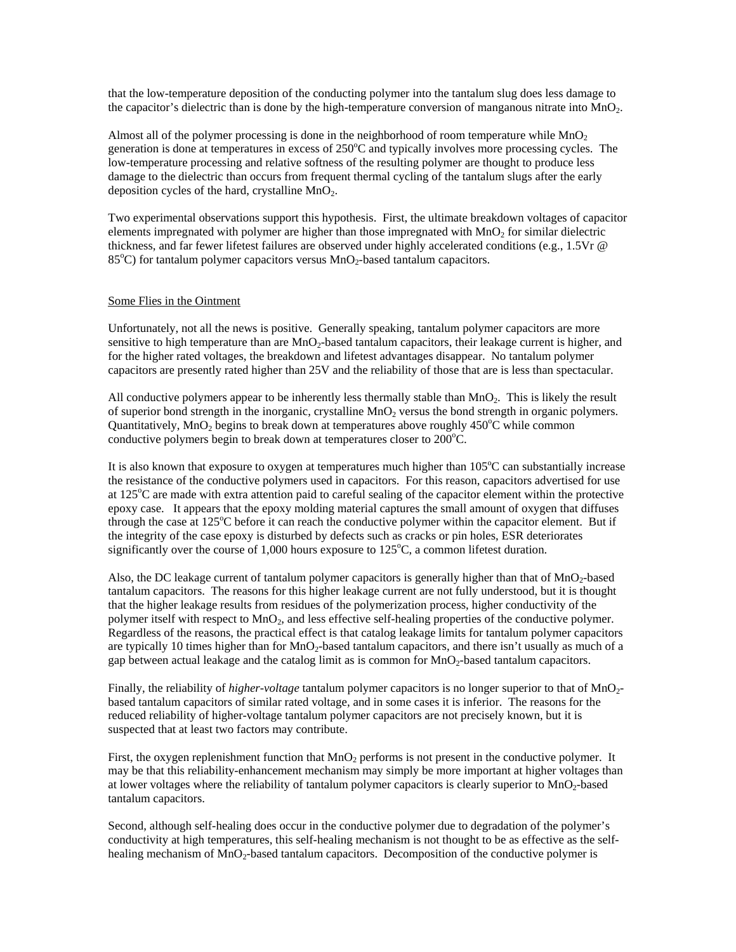that the low-temperature deposition of the conducting polymer into the tantalum slug does less damage to the capacitor's dielectric than is done by the high-temperature conversion of manganous nitrate into  $MnO<sub>2</sub>$ .

Almost all of the polymer processing is done in the neighborhood of room temperature while  $MnO<sub>2</sub>$ generation is done at temperatures in excess of 250°C and typically involves more processing cycles. The low-temperature processing and relative softness of the resulting polymer are thought to produce less damage to the dielectric than occurs from frequent thermal cycling of the tantalum slugs after the early deposition cycles of the hard, crystalline  $MnO<sub>2</sub>$ .

Two experimental observations support this hypothesis. First, the ultimate breakdown voltages of capacitor elements impregnated with polymer are higher than those impregnated with  $MnO<sub>2</sub>$  for similar dielectric thickness, and far fewer lifetest failures are observed under highly accelerated conditions (e.g., 1.5Vr @ 85°C) for tantalum polymer capacitors versus MnO<sub>2</sub>-based tantalum capacitors.

#### Some Flies in the Ointment

Unfortunately, not all the news is positive. Generally speaking, tantalum polymer capacitors are more sensitive to high temperature than are MnO<sub>2</sub>-based tantalum capacitors, their leakage current is higher, and for the higher rated voltages, the breakdown and lifetest advantages disappear. No tantalum polymer capacitors are presently rated higher than 25V and the reliability of those that are is less than spectacular.

All conductive polymers appear to be inherently less thermally stable than  $MnO<sub>2</sub>$ . This is likely the result of superior bond strength in the inorganic, crystalline MnO<sub>2</sub> versus the bond strength in organic polymers. Quantitatively, MnO<sub>2</sub> begins to break down at temperatures above roughly  $450^{\circ}$ C while common conductive polymers begin to break down at temperatures closer to  $200^{\circ}$ C.

It is also known that exposure to oxygen at temperatures much higher than  $105^{\circ}$ C can substantially increase the resistance of the conductive polymers used in capacitors. For this reason, capacitors advertised for use at 125°C are made with extra attention paid to careful sealing of the capacitor element within the protective epoxy case. It appears that the epoxy molding material captures the small amount of oxygen that diffuses through the case at 125°C before it can reach the conductive polymer within the capacitor element. But if the integrity of the case epoxy is disturbed by defects such as cracks or pin holes, ESR deteriorates significantly over the course of  $1,000$  hours exposure to  $125^{\circ}$ C, a common lifetest duration.

Also, the DC leakage current of tantalum polymer capacitors is generally higher than that of MnO<sub>2</sub>-based tantalum capacitors. The reasons for this higher leakage current are not fully understood, but it is thought that the higher leakage results from residues of the polymerization process, higher conductivity of the polymer itself with respect to MnO2, and less effective self-healing properties of the conductive polymer. Regardless of the reasons, the practical effect is that catalog leakage limits for tantalum polymer capacitors are typically 10 times higher than for  $MnO<sub>2</sub>$ -based tantalum capacitors, and there isn't usually as much of a gap between actual leakage and the catalog limit as is common for MnO<sub>2</sub>-based tantalum capacitors.

Finally, the reliability of *higher-voltage* tantalum polymer capacitors is no longer superior to that of MnO<sub>2</sub>based tantalum capacitors of similar rated voltage, and in some cases it is inferior. The reasons for the reduced reliability of higher-voltage tantalum polymer capacitors are not precisely known, but it is suspected that at least two factors may contribute.

First, the oxygen replenishment function that  $MnO<sub>2</sub>$  performs is not present in the conductive polymer. It may be that this reliability-enhancement mechanism may simply be more important at higher voltages than at lower voltages where the reliability of tantalum polymer capacitors is clearly superior to MnO<sub>2</sub>-based tantalum capacitors.

Second, although self-healing does occur in the conductive polymer due to degradation of the polymer's conductivity at high temperatures, this self-healing mechanism is not thought to be as effective as the selfhealing mechanism of MnO<sub>2</sub>-based tantalum capacitors. Decomposition of the conductive polymer is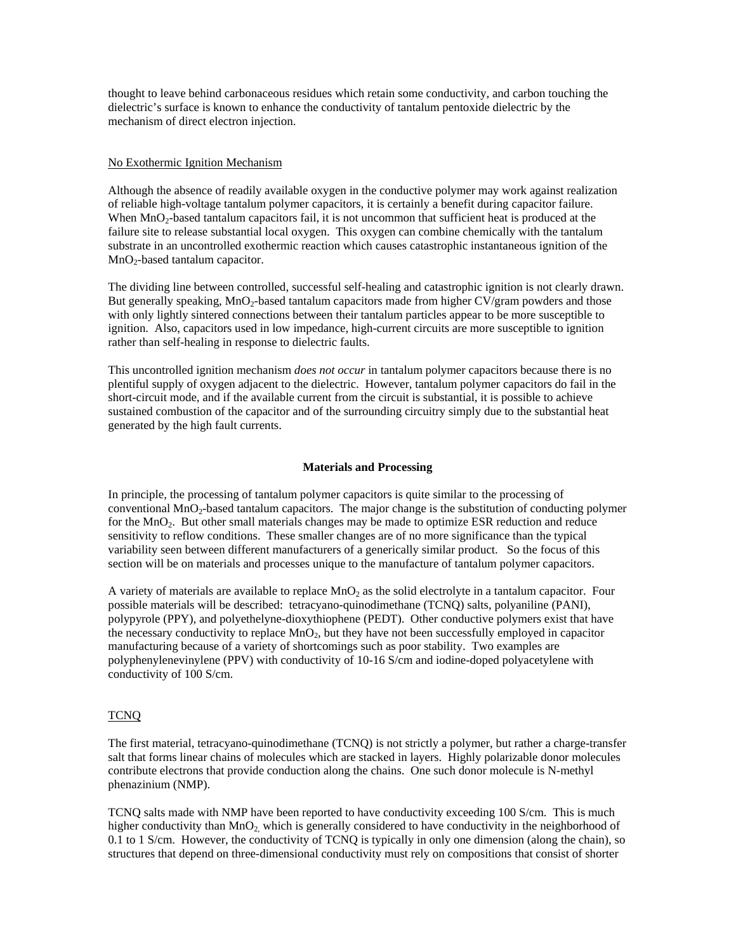thought to leave behind carbonaceous residues which retain some conductivity, and carbon touching the dielectric's surface is known to enhance the conductivity of tantalum pentoxide dielectric by the mechanism of direct electron injection.

#### No Exothermic Ignition Mechanism

Although the absence of readily available oxygen in the conductive polymer may work against realization of reliable high-voltage tantalum polymer capacitors, it is certainly a benefit during capacitor failure. When  $MnO_2$ -based tantalum capacitors fail, it is not uncommon that sufficient heat is produced at the failure site to release substantial local oxygen. This oxygen can combine chemically with the tantalum substrate in an uncontrolled exothermic reaction which causes catastrophic instantaneous ignition of the  $MnO<sub>2</sub>$ -based tantalum capacitor.

The dividing line between controlled, successful self-healing and catastrophic ignition is not clearly drawn. But generally speaking, MnO<sub>2</sub>-based tantalum capacitors made from higher CV/gram powders and those with only lightly sintered connections between their tantalum particles appear to be more susceptible to ignition. Also, capacitors used in low impedance, high-current circuits are more susceptible to ignition rather than self-healing in response to dielectric faults.

This uncontrolled ignition mechanism *does not occur* in tantalum polymer capacitors because there is no plentiful supply of oxygen adjacent to the dielectric. However, tantalum polymer capacitors do fail in the short-circuit mode, and if the available current from the circuit is substantial, it is possible to achieve sustained combustion of the capacitor and of the surrounding circuitry simply due to the substantial heat generated by the high fault currents.

#### **Materials and Processing**

In principle, the processing of tantalum polymer capacitors is quite similar to the processing of conventional MnO<sub>2</sub>-based tantalum capacitors. The major change is the substitution of conducting polymer for the MnO<sub>2</sub>. But other small materials changes may be made to optimize ESR reduction and reduce sensitivity to reflow conditions. These smaller changes are of no more significance than the typical variability seen between different manufacturers of a generically similar product. So the focus of this section will be on materials and processes unique to the manufacture of tantalum polymer capacitors.

A variety of materials are available to replace  $MnO<sub>2</sub>$  as the solid electrolyte in a tantalum capacitor. Four possible materials will be described: tetracyano-quinodimethane (TCNQ) salts, polyaniline (PANI), polypyrole (PPY), and polyethelyne-dioxythiophene (PEDT). Other conductive polymers exist that have the necessary conductivity to replace  $MnO<sub>2</sub>$ , but they have not been successfully employed in capacitor manufacturing because of a variety of shortcomings such as poor stability. Two examples are polyphenylenevinylene (PPV) with conductivity of 10-16 S/cm and iodine-doped polyacetylene with conductivity of 100 S/cm.

#### TCNQ

The first material, tetracyano-quinodimethane (TCNQ) is not strictly a polymer, but rather a charge-transfer salt that forms linear chains of molecules which are stacked in layers. Highly polarizable donor molecules contribute electrons that provide conduction along the chains. One such donor molecule is N-methyl phenazinium (NMP).

TCNQ salts made with NMP have been reported to have conductivity exceeding 100 S/cm. This is much higher conductivity than  $MnO_2$  which is generally considered to have conductivity in the neighborhood of 0.1 to 1 S/cm. However, the conductivity of TCNQ is typically in only one dimension (along the chain), so structures that depend on three-dimensional conductivity must rely on compositions that consist of shorter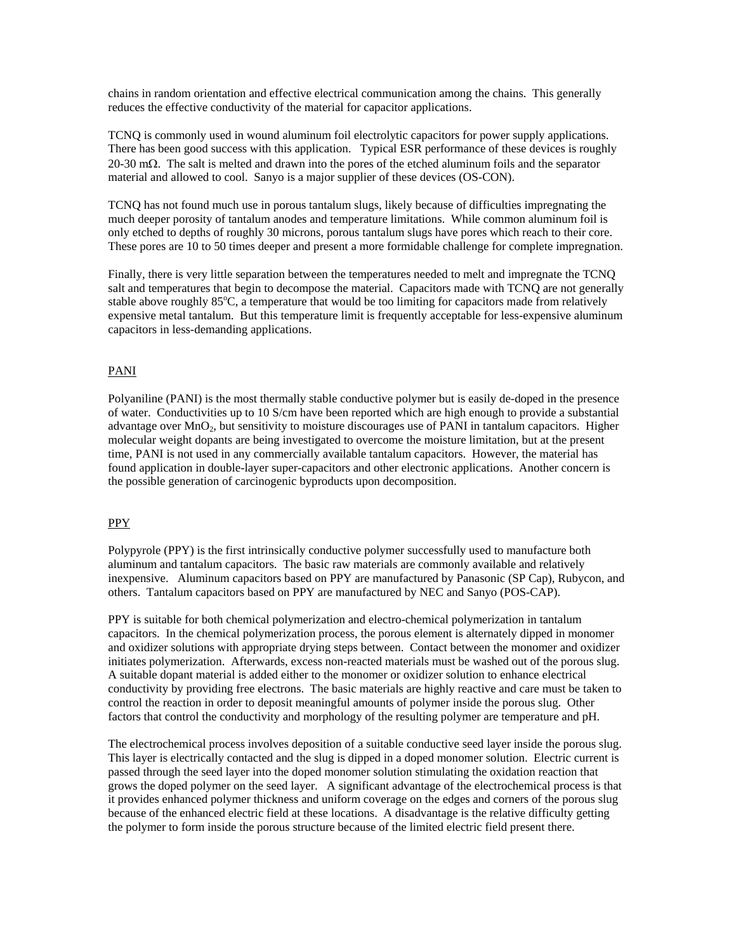chains in random orientation and effective electrical communication among the chains. This generally reduces the effective conductivity of the material for capacitor applications.

TCNQ is commonly used in wound aluminum foil electrolytic capacitors for power supply applications. There has been good success with this application. Typical ESR performance of these devices is roughly 20-30 mΩ. The salt is melted and drawn into the pores of the etched aluminum foils and the separator material and allowed to cool. Sanyo is a major supplier of these devices (OS-CON).

TCNQ has not found much use in porous tantalum slugs, likely because of difficulties impregnating the much deeper porosity of tantalum anodes and temperature limitations. While common aluminum foil is only etched to depths of roughly 30 microns, porous tantalum slugs have pores which reach to their core. These pores are 10 to 50 times deeper and present a more formidable challenge for complete impregnation.

Finally, there is very little separation between the temperatures needed to melt and impregnate the TCNQ salt and temperatures that begin to decompose the material. Capacitors made with TCNQ are not generally stable above roughly 85°C, a temperature that would be too limiting for capacitors made from relatively expensive metal tantalum. But this temperature limit is frequently acceptable for less-expensive aluminum capacitors in less-demanding applications.

### PANI

Polyaniline (PANI) is the most thermally stable conductive polymer but is easily de-doped in the presence of water. Conductivities up to 10 S/cm have been reported which are high enough to provide a substantial advantage over MnO<sub>2</sub>, but sensitivity to moisture discourages use of PANI in tantalum capacitors. Higher molecular weight dopants are being investigated to overcome the moisture limitation, but at the present time, PANI is not used in any commercially available tantalum capacitors. However, the material has found application in double-layer super-capacitors and other electronic applications. Another concern is the possible generation of carcinogenic byproducts upon decomposition.

### PPY

Polypyrole (PPY) is the first intrinsically conductive polymer successfully used to manufacture both aluminum and tantalum capacitors. The basic raw materials are commonly available and relatively inexpensive. Aluminum capacitors based on PPY are manufactured by Panasonic (SP Cap), Rubycon, and others. Tantalum capacitors based on PPY are manufactured by NEC and Sanyo (POS-CAP).

PPY is suitable for both chemical polymerization and electro-chemical polymerization in tantalum capacitors. In the chemical polymerization process, the porous element is alternately dipped in monomer and oxidizer solutions with appropriate drying steps between. Contact between the monomer and oxidizer initiates polymerization. Afterwards, excess non-reacted materials must be washed out of the porous slug. A suitable dopant material is added either to the monomer or oxidizer solution to enhance electrical conductivity by providing free electrons. The basic materials are highly reactive and care must be taken to control the reaction in order to deposit meaningful amounts of polymer inside the porous slug. Other factors that control the conductivity and morphology of the resulting polymer are temperature and pH.

The electrochemical process involves deposition of a suitable conductive seed layer inside the porous slug. This layer is electrically contacted and the slug is dipped in a doped monomer solution. Electric current is passed through the seed layer into the doped monomer solution stimulating the oxidation reaction that grows the doped polymer on the seed layer. A significant advantage of the electrochemical process is that it provides enhanced polymer thickness and uniform coverage on the edges and corners of the porous slug because of the enhanced electric field at these locations. A disadvantage is the relative difficulty getting the polymer to form inside the porous structure because of the limited electric field present there.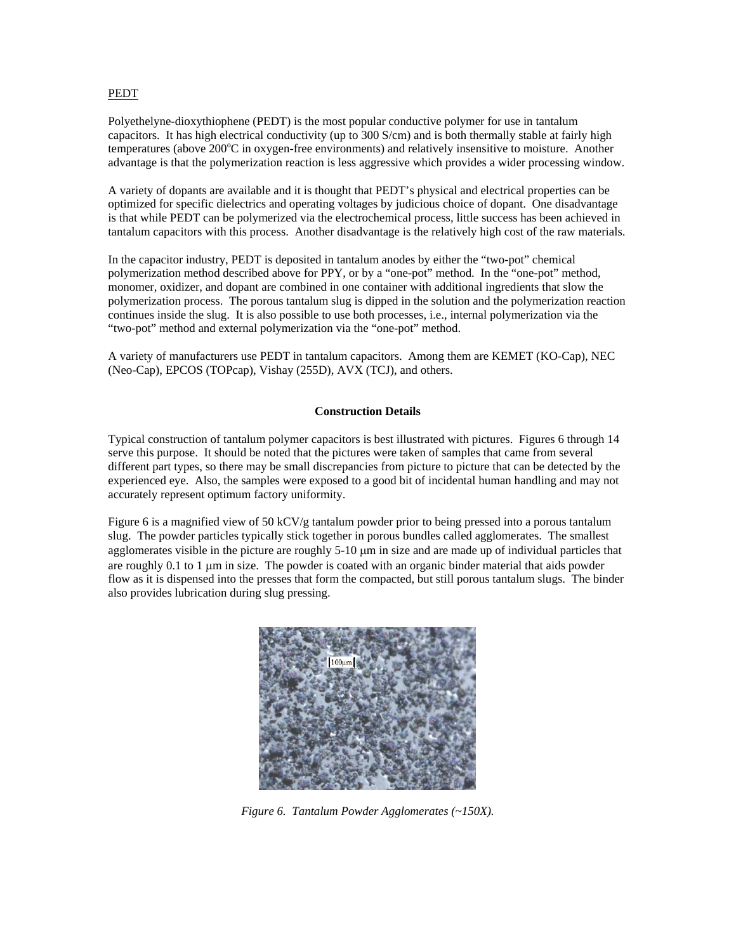#### **PEDT**

Polyethelyne-dioxythiophene (PEDT) is the most popular conductive polymer for use in tantalum capacitors. It has high electrical conductivity (up to 300 S/cm) and is both thermally stable at fairly high temperatures (above 200°C in oxygen-free environments) and relatively insensitive to moisture. Another advantage is that the polymerization reaction is less aggressive which provides a wider processing window.

A variety of dopants are available and it is thought that PEDT's physical and electrical properties can be optimized for specific dielectrics and operating voltages by judicious choice of dopant. One disadvantage is that while PEDT can be polymerized via the electrochemical process, little success has been achieved in tantalum capacitors with this process. Another disadvantage is the relatively high cost of the raw materials.

In the capacitor industry, PEDT is deposited in tantalum anodes by either the "two-pot" chemical polymerization method described above for PPY, or by a "one-pot" method. In the "one-pot" method, monomer, oxidizer, and dopant are combined in one container with additional ingredients that slow the polymerization process. The porous tantalum slug is dipped in the solution and the polymerization reaction continues inside the slug. It is also possible to use both processes, i.e., internal polymerization via the "two-pot" method and external polymerization via the "one-pot" method.

A variety of manufacturers use PEDT in tantalum capacitors. Among them are KEMET (KO-Cap), NEC (Neo-Cap), EPCOS (TOPcap), Vishay (255D), AVX (TCJ), and others.

#### **Construction Details**

Typical construction of tantalum polymer capacitors is best illustrated with pictures. Figures 6 through 14 serve this purpose. It should be noted that the pictures were taken of samples that came from several different part types, so there may be small discrepancies from picture to picture that can be detected by the experienced eye. Also, the samples were exposed to a good bit of incidental human handling and may not accurately represent optimum factory uniformity.

Figure 6 is a magnified view of 50 kCV/g tantalum powder prior to being pressed into a porous tantalum slug. The powder particles typically stick together in porous bundles called agglomerates. The smallest agglomerates visible in the picture are roughly 5-10 µm in size and are made up of individual particles that are roughly 0.1 to 1 µm in size. The powder is coated with an organic binder material that aids powder flow as it is dispensed into the presses that form the compacted, but still porous tantalum slugs. The binder also provides lubrication during slug pressing.



*Figure 6. Tantalum Powder Agglomerates (~150X).*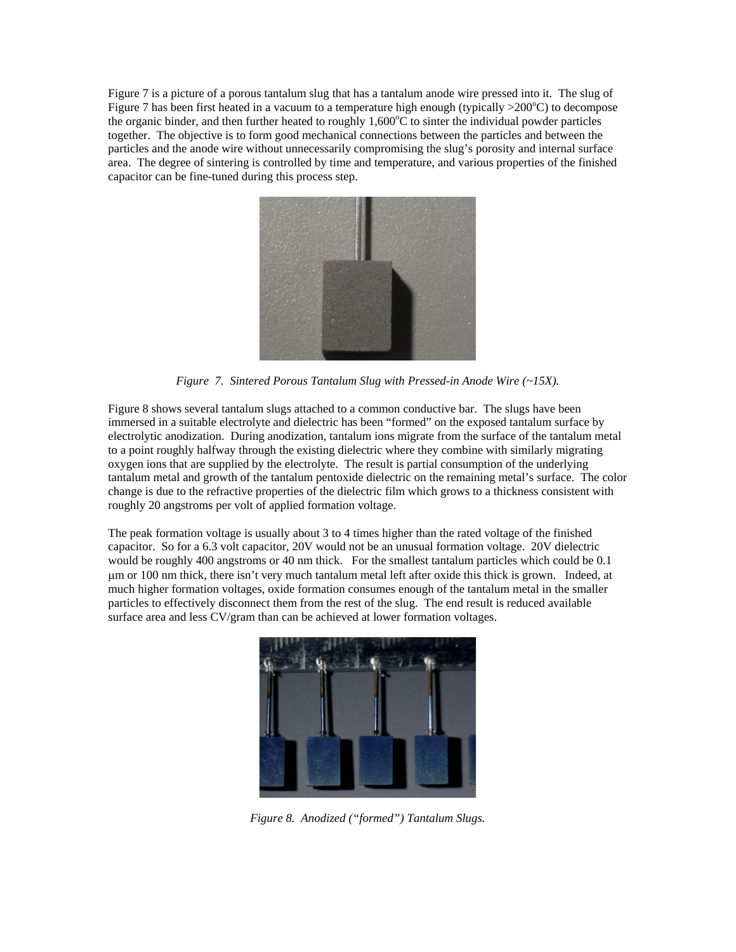Figure 7 is a picture of a porous tantalum slug that has a tantalum anode wire pressed into it. The slug of Figure 7 has been first heated in a vacuum to a temperature high enough (typically >200°C) to decompose the organic binder, and then further heated to roughly 1,600°C to sinter the individual powder particles together. The objective is to form good mechanical connections between the particles and between the particles and the anode wire without unnecessarily compromising the slug's porosity and internal surface area. The degree of sintering is controlled by time and temperature, and various properties of the finished capacitor can be fine-tuned during this process step.



*Figure 7. Sintered Porous Tantalum Slug with Pressed-in Anode Wire (~15X).* 

Figure 8 shows several tantalum slugs attached to a common conductive bar. The slugs have been immersed in a suitable electrolyte and dielectric has been "formed" on the exposed tantalum surface by electrolytic anodization. During anodization, tantalum ions migrate from the surface of the tantalum metal to a point roughly halfway through the existing dielectric where they combine with similarly migrating oxygen ions that are supplied by the electrolyte. The result is partial consumption of the underlying tantalum metal and growth of the tantalum pentoxide dielectric on the remaining metal's surface. The color change is due to the refractive properties of the dielectric film which grows to a thickness consistent with roughly 20 angstroms per volt of applied formation voltage.

The peak formation voltage is usually about 3 to 4 times higher than the rated voltage of the finished capacitor. So for a 6.3 volt capacitor, 20V would not be an unusual formation voltage. 20V dielectric would be roughly 400 angstroms or 40 nm thick. For the smallest tantalum particles which could be 0.1 µm or 100 nm thick, there isn't very much tantalum metal left after oxide this thick is grown. Indeed, at much higher formation voltages, oxide formation consumes enough of the tantalum metal in the smaller particles to effectively disconnect them from the rest of the slug. The end result is reduced available surface area and less CV/gram than can be achieved at lower formation voltages.



*Figure 8. Anodized ("formed") Tantalum Slugs.*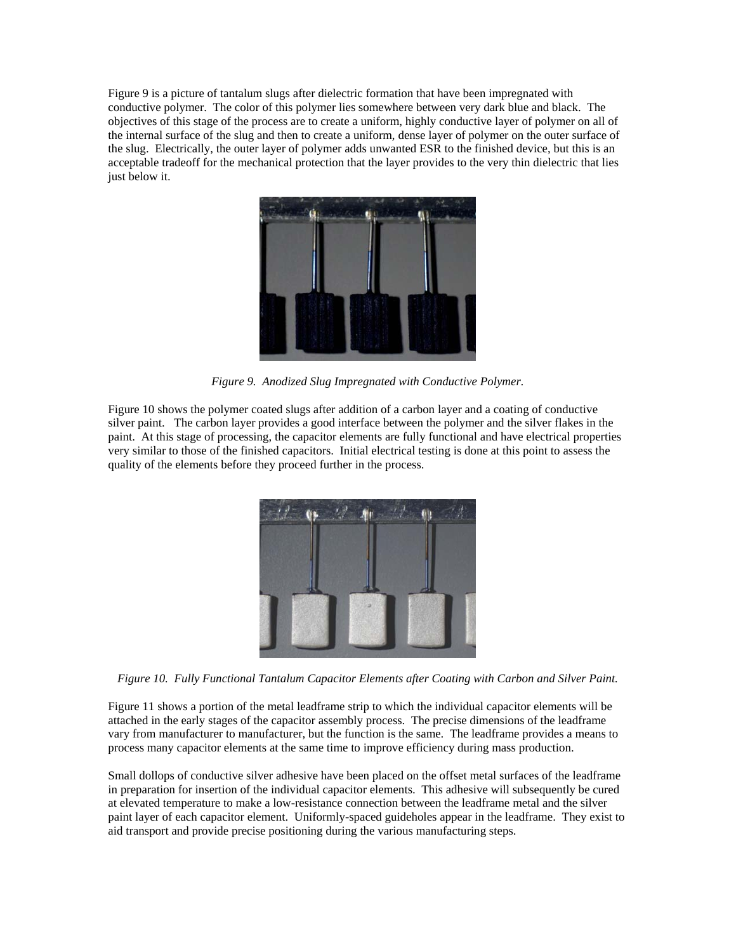Figure 9 is a picture of tantalum slugs after dielectric formation that have been impregnated with conductive polymer. The color of this polymer lies somewhere between very dark blue and black. The objectives of this stage of the process are to create a uniform, highly conductive layer of polymer on all of the internal surface of the slug and then to create a uniform, dense layer of polymer on the outer surface of the slug. Electrically, the outer layer of polymer adds unwanted ESR to the finished device, but this is an acceptable tradeoff for the mechanical protection that the layer provides to the very thin dielectric that lies just below it.



*Figure 9. Anodized Slug Impregnated with Conductive Polymer.* 

Figure 10 shows the polymer coated slugs after addition of a carbon layer and a coating of conductive silver paint. The carbon layer provides a good interface between the polymer and the silver flakes in the paint. At this stage of processing, the capacitor elements are fully functional and have electrical properties very similar to those of the finished capacitors. Initial electrical testing is done at this point to assess the quality of the elements before they proceed further in the process.



*Figure 10. Fully Functional Tantalum Capacitor Elements after Coating with Carbon and Silver Paint.* 

Figure 11 shows a portion of the metal leadframe strip to which the individual capacitor elements will be attached in the early stages of the capacitor assembly process. The precise dimensions of the leadframe vary from manufacturer to manufacturer, but the function is the same. The leadframe provides a means to process many capacitor elements at the same time to improve efficiency during mass production.

Small dollops of conductive silver adhesive have been placed on the offset metal surfaces of the leadframe in preparation for insertion of the individual capacitor elements. This adhesive will subsequently be cured at elevated temperature to make a low-resistance connection between the leadframe metal and the silver paint layer of each capacitor element. Uniformly-spaced guideholes appear in the leadframe. They exist to aid transport and provide precise positioning during the various manufacturing steps.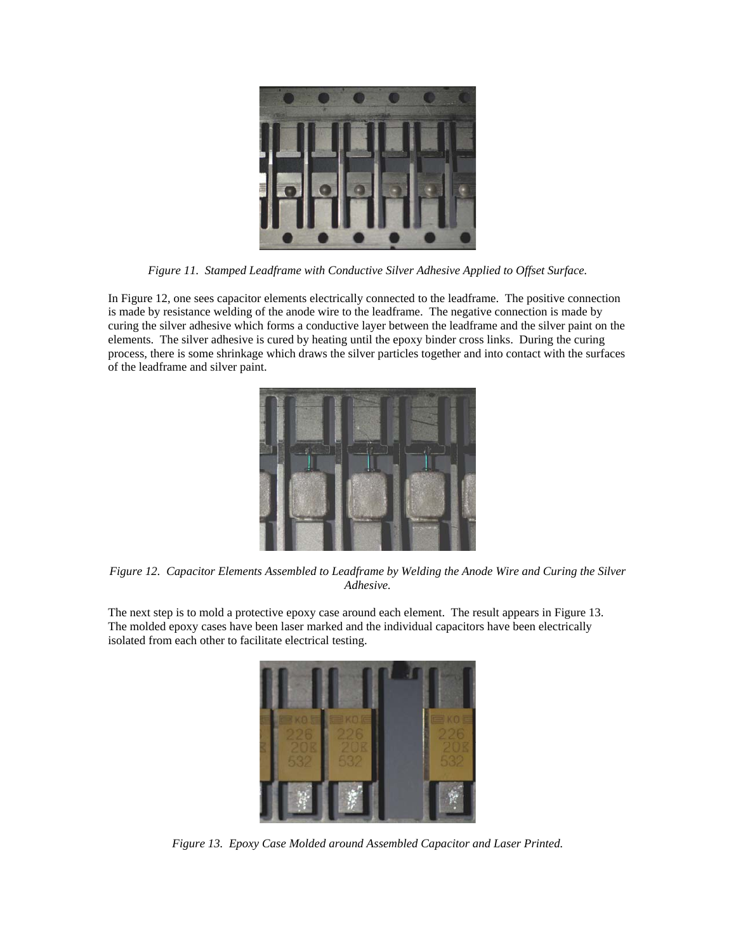

*Figure 11. Stamped Leadframe with Conductive Silver Adhesive Applied to Offset Surface.* 

In Figure 12, one sees capacitor elements electrically connected to the leadframe. The positive connection is made by resistance welding of the anode wire to the leadframe. The negative connection is made by curing the silver adhesive which forms a conductive layer between the leadframe and the silver paint on the elements. The silver adhesive is cured by heating until the epoxy binder cross links. During the curing process, there is some shrinkage which draws the silver particles together and into contact with the surfaces of the leadframe and silver paint.



*Figure 12. Capacitor Elements Assembled to Leadframe by Welding the Anode Wire and Curing the Silver Adhesive.* 

The next step is to mold a protective epoxy case around each element. The result appears in Figure 13. The molded epoxy cases have been laser marked and the individual capacitors have been electrically isolated from each other to facilitate electrical testing.



*Figure 13. Epoxy Case Molded around Assembled Capacitor and Laser Printed.*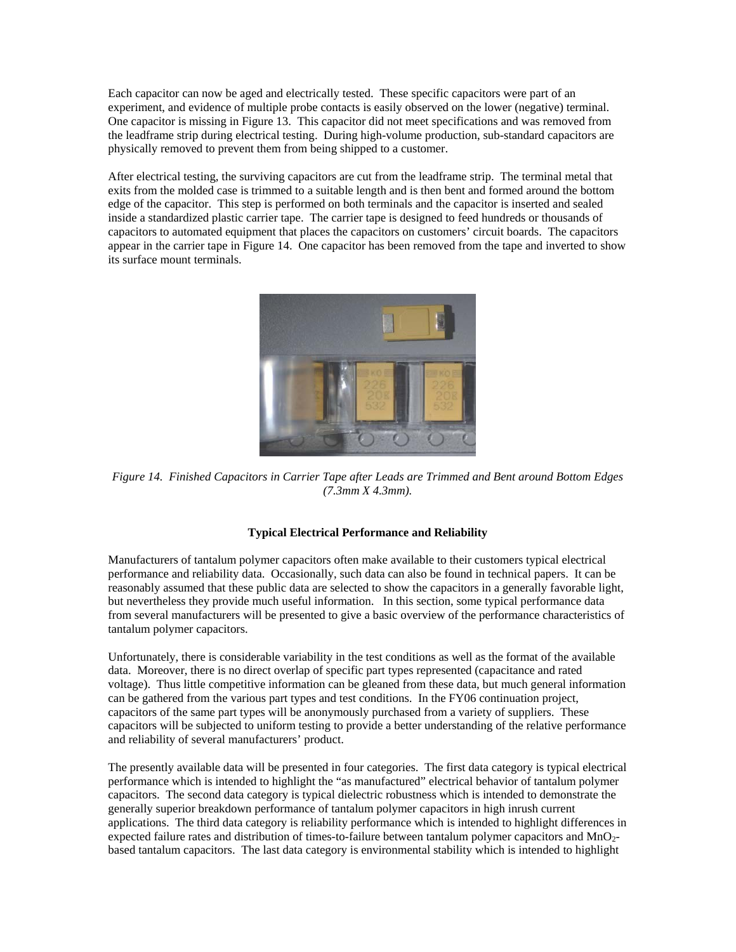Each capacitor can now be aged and electrically tested. These specific capacitors were part of an experiment, and evidence of multiple probe contacts is easily observed on the lower (negative) terminal. One capacitor is missing in Figure 13. This capacitor did not meet specifications and was removed from the leadframe strip during electrical testing. During high-volume production, sub-standard capacitors are physically removed to prevent them from being shipped to a customer.

After electrical testing, the surviving capacitors are cut from the leadframe strip. The terminal metal that exits from the molded case is trimmed to a suitable length and is then bent and formed around the bottom edge of the capacitor. This step is performed on both terminals and the capacitor is inserted and sealed inside a standardized plastic carrier tape. The carrier tape is designed to feed hundreds or thousands of capacitors to automated equipment that places the capacitors on customers' circuit boards. The capacitors appear in the carrier tape in Figure 14. One capacitor has been removed from the tape and inverted to show its surface mount terminals.



*Figure 14. Finished Capacitors in Carrier Tape after Leads are Trimmed and Bent around Bottom Edges (7.3mm X 4.3mm).*

# **Typical Electrical Performance and Reliability**

Manufacturers of tantalum polymer capacitors often make available to their customers typical electrical performance and reliability data. Occasionally, such data can also be found in technical papers. It can be reasonably assumed that these public data are selected to show the capacitors in a generally favorable light, but nevertheless they provide much useful information. In this section, some typical performance data from several manufacturers will be presented to give a basic overview of the performance characteristics of tantalum polymer capacitors.

Unfortunately, there is considerable variability in the test conditions as well as the format of the available data. Moreover, there is no direct overlap of specific part types represented (capacitance and rated voltage). Thus little competitive information can be gleaned from these data, but much general information can be gathered from the various part types and test conditions. In the FY06 continuation project, capacitors of the same part types will be anonymously purchased from a variety of suppliers. These capacitors will be subjected to uniform testing to provide a better understanding of the relative performance and reliability of several manufacturers' product.

The presently available data will be presented in four categories. The first data category is typical electrical performance which is intended to highlight the "as manufactured" electrical behavior of tantalum polymer capacitors. The second data category is typical dielectric robustness which is intended to demonstrate the generally superior breakdown performance of tantalum polymer capacitors in high inrush current applications. The third data category is reliability performance which is intended to highlight differences in expected failure rates and distribution of times-to-failure between tantalum polymer capacitors and MnO<sub>2</sub>based tantalum capacitors. The last data category is environmental stability which is intended to highlight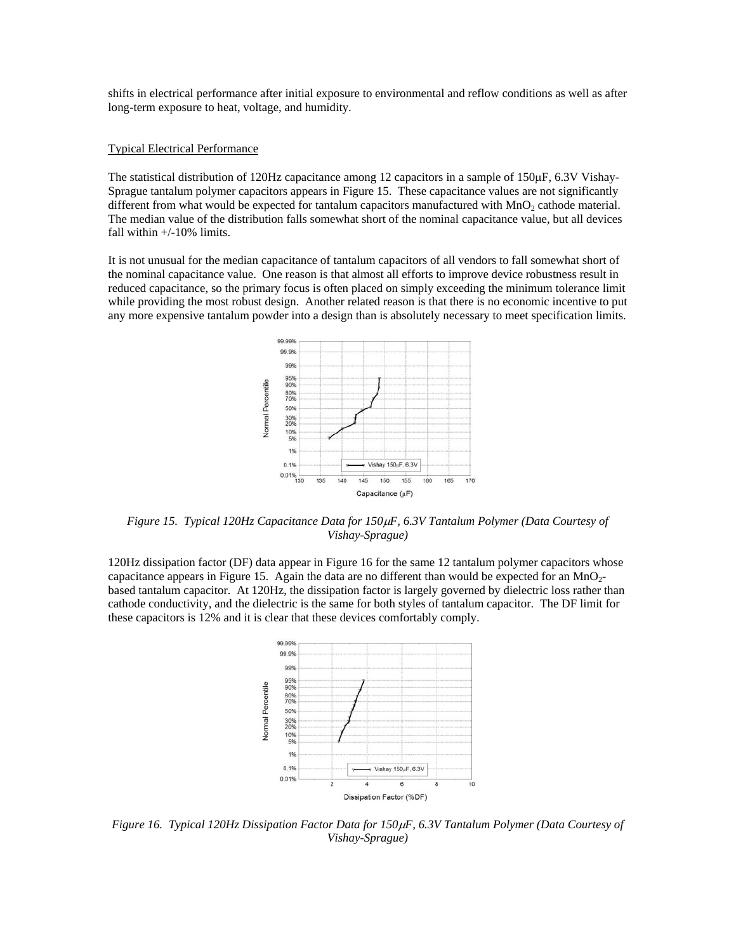shifts in electrical performance after initial exposure to environmental and reflow conditions as well as after long-term exposure to heat, voltage, and humidity.

#### Typical Electrical Performance

The statistical distribution of 120Hz capacitance among 12 capacitors in a sample of 150µF, 6.3V Vishay-Sprague tantalum polymer capacitors appears in Figure 15. These capacitance values are not significantly different from what would be expected for tantalum capacitors manufactured with  $MnO<sub>2</sub>$  cathode material. The median value of the distribution falls somewhat short of the nominal capacitance value, but all devices fall within  $+/-10\%$  limits.

It is not unusual for the median capacitance of tantalum capacitors of all vendors to fall somewhat short of the nominal capacitance value. One reason is that almost all efforts to improve device robustness result in reduced capacitance, so the primary focus is often placed on simply exceeding the minimum tolerance limit while providing the most robust design. Another related reason is that there is no economic incentive to put any more expensive tantalum powder into a design than is absolutely necessary to meet specification limits.



*Figure 15. Typical 120Hz Capacitance Data for 150*µ*F, 6.3V Tantalum Polymer (Data Courtesy of Vishay-Sprague)* 

120Hz dissipation factor (DF) data appear in Figure 16 for the same 12 tantalum polymer capacitors whose capacitance appears in Figure 15. Again the data are no different than would be expected for an  $MnO<sub>2</sub>$ based tantalum capacitor. At 120Hz, the dissipation factor is largely governed by dielectric loss rather than cathode conductivity, and the dielectric is the same for both styles of tantalum capacitor. The DF limit for these capacitors is 12% and it is clear that these devices comfortably comply.



*Figure 16. Typical 120Hz Dissipation Factor Data for 150*µ*F, 6.3V Tantalum Polymer (Data Courtesy of Vishay-Sprague)*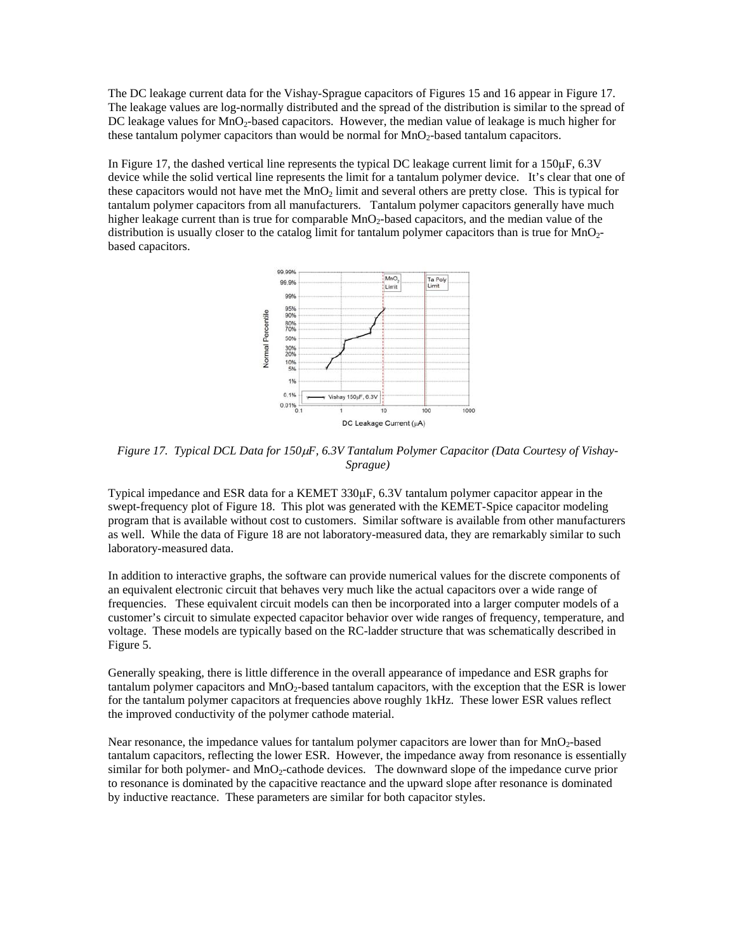The DC leakage current data for the Vishay-Sprague capacitors of Figures 15 and 16 appear in Figure 17. The leakage values are log-normally distributed and the spread of the distribution is similar to the spread of DC leakage values for MnO<sub>2</sub>-based capacitors. However, the median value of leakage is much higher for these tantalum polymer capacitors than would be normal for  $MnO<sub>2</sub>$ -based tantalum capacitors.

In Figure 17, the dashed vertical line represents the typical DC leakage current limit for a 150µF, 6.3V device while the solid vertical line represents the limit for a tantalum polymer device. It's clear that one of these capacitors would not have met the  $MnO<sub>2</sub>$  limit and several others are pretty close. This is typical for tantalum polymer capacitors from all manufacturers. Tantalum polymer capacitors generally have much higher leakage current than is true for comparable  $MnO<sub>2</sub>$ -based capacitors, and the median value of the distribution is usually closer to the catalog limit for tantalum polymer capacitors than is true for MnO<sub>2</sub>based capacitors.



*Figure 17. Typical DCL Data for 150*µ*F, 6.3V Tantalum Polymer Capacitor (Data Courtesy of Vishay-Sprague)* 

Typical impedance and ESR data for a KEMET 330µF, 6.3V tantalum polymer capacitor appear in the swept-frequency plot of Figure 18. This plot was generated with the KEMET-Spice capacitor modeling program that is available without cost to customers. Similar software is available from other manufacturers as well. While the data of Figure 18 are not laboratory-measured data, they are remarkably similar to such laboratory-measured data.

In addition to interactive graphs, the software can provide numerical values for the discrete components of an equivalent electronic circuit that behaves very much like the actual capacitors over a wide range of frequencies. These equivalent circuit models can then be incorporated into a larger computer models of a customer's circuit to simulate expected capacitor behavior over wide ranges of frequency, temperature, and voltage. These models are typically based on the RC-ladder structure that was schematically described in Figure 5.

Generally speaking, there is little difference in the overall appearance of impedance and ESR graphs for tantalum polymer capacitors and MnO<sub>2</sub>-based tantalum capacitors, with the exception that the ESR is lower for the tantalum polymer capacitors at frequencies above roughly 1kHz. These lower ESR values reflect the improved conductivity of the polymer cathode material.

Near resonance, the impedance values for tantalum polymer capacitors are lower than for MnO<sub>2</sub>-based tantalum capacitors, reflecting the lower ESR. However, the impedance away from resonance is essentially similar for both polymer- and  $MnO<sub>2</sub>$ -cathode devices. The downward slope of the impedance curve prior to resonance is dominated by the capacitive reactance and the upward slope after resonance is dominated by inductive reactance. These parameters are similar for both capacitor styles.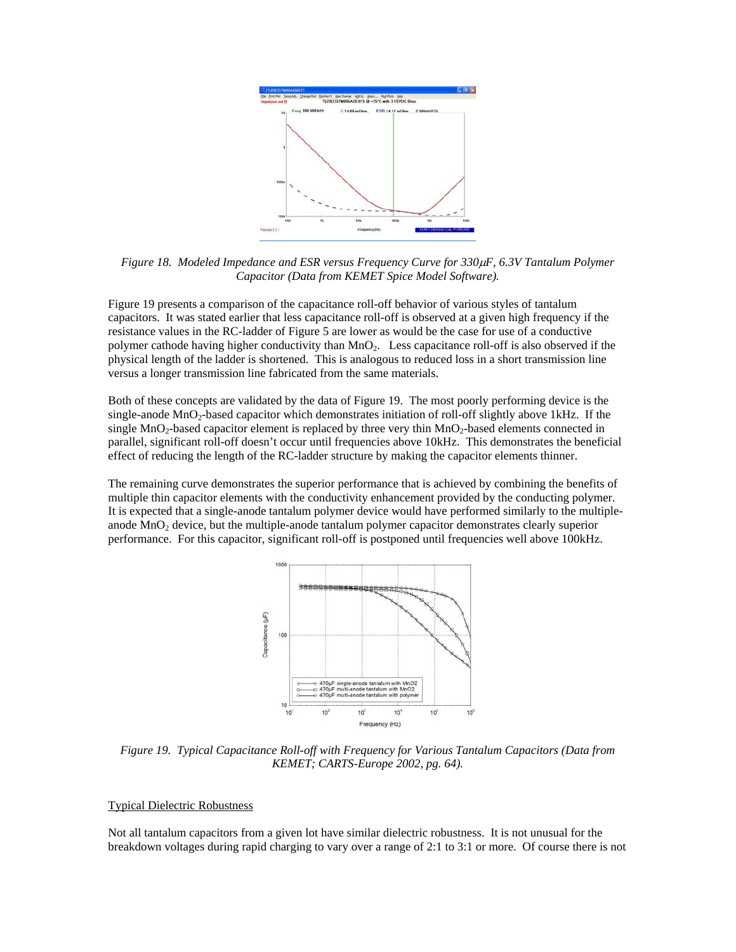

*Figure 18. Modeled Impedance and ESR versus Frequency Curve for 330*µ*F, 6.3V Tantalum Polymer Capacitor (Data from KEMET Spice Model Software).* 

Figure 19 presents a comparison of the capacitance roll-off behavior of various styles of tantalum capacitors. It was stated earlier that less capacitance roll-off is observed at a given high frequency if the resistance values in the RC-ladder of Figure 5 are lower as would be the case for use of a conductive polymer cathode having higher conductivity than MnO2. Less capacitance roll-off is also observed if the physical length of the ladder is shortened. This is analogous to reduced loss in a short transmission line versus a longer transmission line fabricated from the same materials.

Both of these concepts are validated by the data of Figure 19. The most poorly performing device is the single-anode  $MnO<sub>2</sub>$ -based capacitor which demonstrates initiation of roll-off slightly above 1kHz. If the single  $MnO<sub>2</sub>$ -based capacitor element is replaced by three very thin  $MnO<sub>2</sub>$ -based elements connected in parallel, significant roll-off doesn't occur until frequencies above 10kHz. This demonstrates the beneficial effect of reducing the length of the RC-ladder structure by making the capacitor elements thinner.

The remaining curve demonstrates the superior performance that is achieved by combining the benefits of multiple thin capacitor elements with the conductivity enhancement provided by the conducting polymer. It is expected that a single-anode tantalum polymer device would have performed similarly to the multipleanode MnO<sub>2</sub> device, but the multiple-anode tantalum polymer capacitor demonstrates clearly superior performance. For this capacitor, significant roll-off is postponed until frequencies well above 100kHz.



*Figure 19. Typical Capacitance Roll-off with Frequency for Various Tantalum Capacitors (Data from KEMET; CARTS-Europe 2002, pg. 64).* 

# Typical Dielectric Robustness

Not all tantalum capacitors from a given lot have similar dielectric robustness. It is not unusual for the breakdown voltages during rapid charging to vary over a range of 2:1 to 3:1 or more. Of course there is not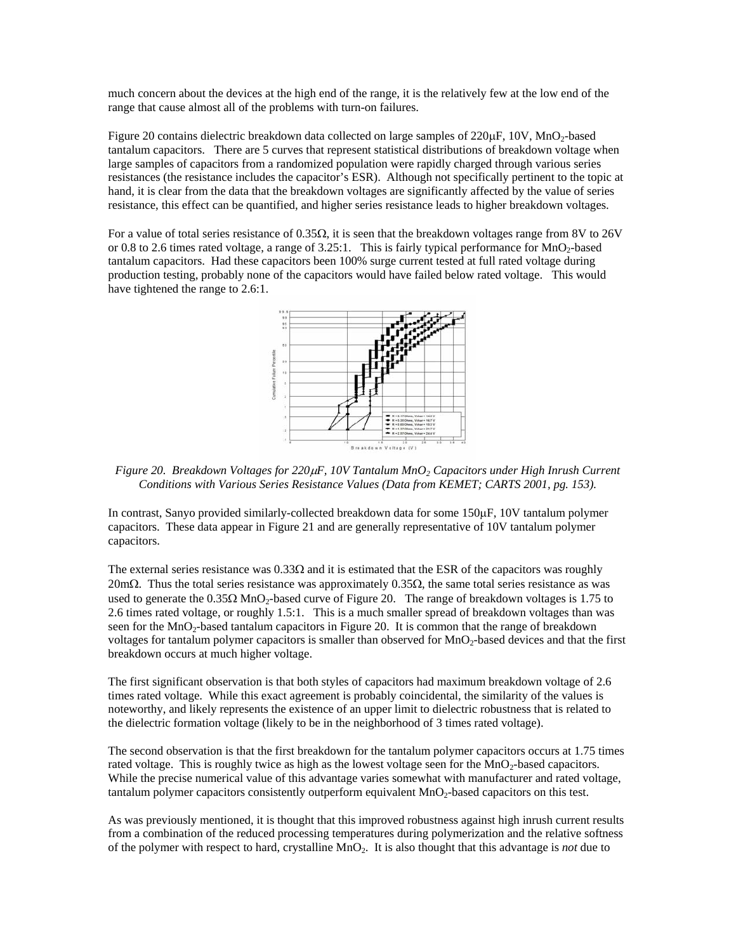much concern about the devices at the high end of the range, it is the relatively few at the low end of the range that cause almost all of the problems with turn-on failures.

Figure 20 contains dielectric breakdown data collected on large samples of 220 $\mu$ F, 10V, MnO<sub>2</sub>-based tantalum capacitors. There are 5 curves that represent statistical distributions of breakdown voltage when large samples of capacitors from a randomized population were rapidly charged through various series resistances (the resistance includes the capacitor's ESR). Although not specifically pertinent to the topic at hand, it is clear from the data that the breakdown voltages are significantly affected by the value of series resistance, this effect can be quantified, and higher series resistance leads to higher breakdown voltages.

For a value of total series resistance of  $0.35\Omega$ , it is seen that the breakdown voltages range from 8V to 26V or 0.8 to 2.6 times rated voltage, a range of 3.25:1. This is fairly typical performance for MnO<sub>2</sub>-based tantalum capacitors. Had these capacitors been 100% surge current tested at full rated voltage during production testing, probably none of the capacitors would have failed below rated voltage. This would have tightened the range to 2.6:1.



*Figure 20. Breakdown Voltages for 220*µ*F, 10V Tantalum MnO2 Capacitors under High Inrush Current Conditions with Various Series Resistance Values (Data from KEMET; CARTS 2001, pg. 153).* 

In contrast, Sanyo provided similarly-collected breakdown data for some 150µF, 10V tantalum polymer capacitors. These data appear in Figure 21 and are generally representative of 10V tantalum polymer capacitors.

The external series resistance was  $0.33\Omega$  and it is estimated that the ESR of the capacitors was roughly  $20$ mΩ. Thus the total series resistance was approximately 0.35Ω, the same total series resistance as was used to generate the  $0.35\Omega$  MnO<sub>2</sub>-based curve of Figure 20. The range of breakdown voltages is 1.75 to 2.6 times rated voltage, or roughly 1.5:1. This is a much smaller spread of breakdown voltages than was seen for the MnO<sub>2</sub>-based tantalum capacitors in Figure 20. It is common that the range of breakdown voltages for tantalum polymer capacitors is smaller than observed for MnO<sub>2</sub>-based devices and that the first breakdown occurs at much higher voltage.

The first significant observation is that both styles of capacitors had maximum breakdown voltage of 2.6 times rated voltage. While this exact agreement is probably coincidental, the similarity of the values is noteworthy, and likely represents the existence of an upper limit to dielectric robustness that is related to the dielectric formation voltage (likely to be in the neighborhood of 3 times rated voltage).

The second observation is that the first breakdown for the tantalum polymer capacitors occurs at 1.75 times rated voltage. This is roughly twice as high as the lowest voltage seen for the  $MnO<sub>2</sub>$ -based capacitors. While the precise numerical value of this advantage varies somewhat with manufacturer and rated voltage, tantalum polymer capacitors consistently outperform equivalent MnO<sub>2</sub>-based capacitors on this test.

As was previously mentioned, it is thought that this improved robustness against high inrush current results from a combination of the reduced processing temperatures during polymerization and the relative softness of the polymer with respect to hard, crystalline MnO2. It is also thought that this advantage is *not* due to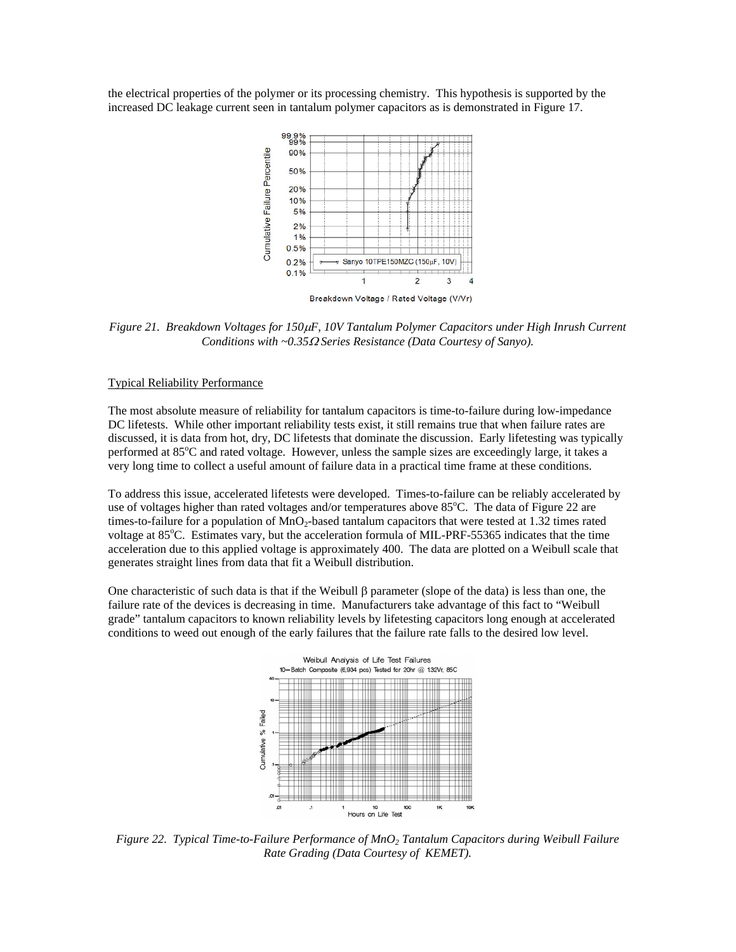the electrical properties of the polymer or its processing chemistry. This hypothesis is supported by the increased DC leakage current seen in tantalum polymer capacitors as is demonstrated in Figure 17.



*Figure 21. Breakdown Voltages for 150*µ*F, 10V Tantalum Polymer Capacitors under High Inrush Current Conditions with ~0.35*Ω *Series Resistance (Data Courtesy of Sanyo).* 

#### Typical Reliability Performance

The most absolute measure of reliability for tantalum capacitors is time-to-failure during low-impedance DC lifetests. While other important reliability tests exist, it still remains true that when failure rates are discussed, it is data from hot, dry, DC lifetests that dominate the discussion. Early lifetesting was typically performed at 85°C and rated voltage. However, unless the sample sizes are exceedingly large, it takes a very long time to collect a useful amount of failure data in a practical time frame at these conditions.

To address this issue, accelerated lifetests were developed. Times-to-failure can be reliably accelerated by use of voltages higher than rated voltages and/or temperatures above 85°C. The data of Figure 22 are times-to-failure for a population of  $MnO<sub>2</sub>$ -based tantalum capacitors that were tested at 1.32 times rated voltage at 85°C. Estimates vary, but the acceleration formula of MIL-PRF-55365 indicates that the time acceleration due to this applied voltage is approximately 400. The data are plotted on a Weibull scale that generates straight lines from data that fit a Weibull distribution.

One characteristic of such data is that if the Weibull β parameter (slope of the data) is less than one, the failure rate of the devices is decreasing in time. Manufacturers take advantage of this fact to "Weibull grade" tantalum capacitors to known reliability levels by lifetesting capacitors long enough at accelerated conditions to weed out enough of the early failures that the failure rate falls to the desired low level.



*Figure 22. Typical Time-to-Failure Performance of MnO2 Tantalum Capacitors during Weibull Failure Rate Grading (Data Courtesy of KEMET).*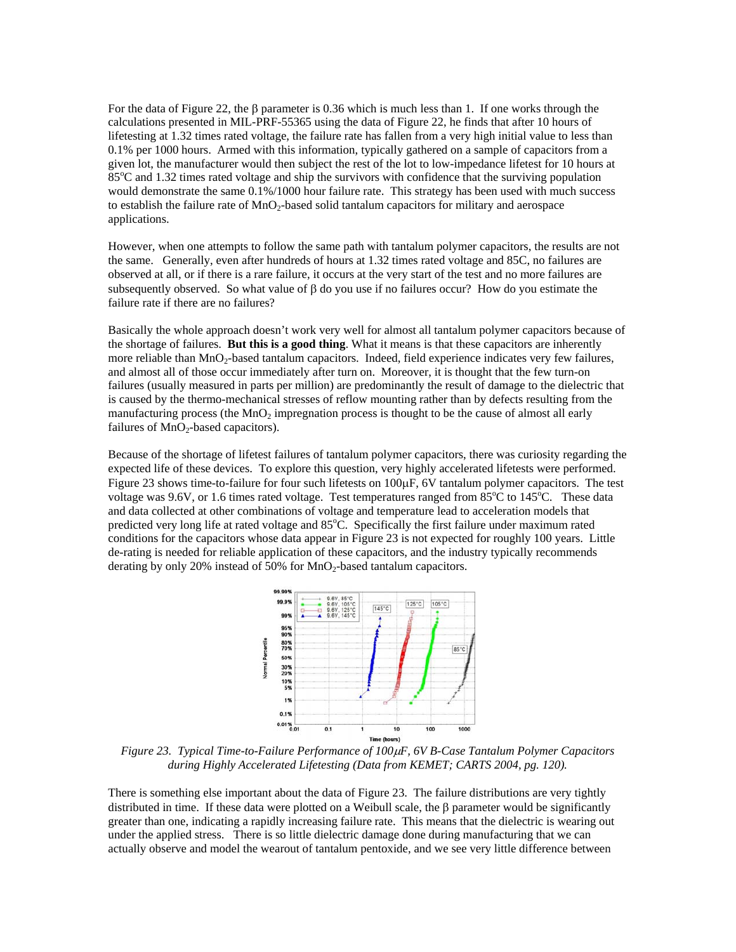For the data of Figure 22, the  $\beta$  parameter is 0.36 which is much less than 1. If one works through the calculations presented in MIL-PRF-55365 using the data of Figure 22, he finds that after 10 hours of lifetesting at 1.32 times rated voltage, the failure rate has fallen from a very high initial value to less than 0.1% per 1000 hours. Armed with this information, typically gathered on a sample of capacitors from a given lot, the manufacturer would then subject the rest of the lot to low-impedance lifetest for 10 hours at  $85^{\circ}$ C and 1.32 times rated voltage and ship the survivors with confidence that the surviving population would demonstrate the same 0.1%/1000 hour failure rate. This strategy has been used with much success to establish the failure rate of  $MnO<sub>2</sub>$ -based solid tantalum capacitors for military and aerospace applications.

However, when one attempts to follow the same path with tantalum polymer capacitors, the results are not the same. Generally, even after hundreds of hours at 1.32 times rated voltage and 85C, no failures are observed at all, or if there is a rare failure, it occurs at the very start of the test and no more failures are subsequently observed. So what value of β do you use if no failures occur? How do you estimate the failure rate if there are no failures?

Basically the whole approach doesn't work very well for almost all tantalum polymer capacitors because of the shortage of failures. **But this is a good thing**. What it means is that these capacitors are inherently more reliable than  $MnO_2$ -based tantalum capacitors. Indeed, field experience indicates very few failures, and almost all of those occur immediately after turn on. Moreover, it is thought that the few turn-on failures (usually measured in parts per million) are predominantly the result of damage to the dielectric that is caused by the thermo-mechanical stresses of reflow mounting rather than by defects resulting from the manufacturing process (the  $MnO<sub>2</sub>$  impregnation process is thought to be the cause of almost all early failures of  $MnO<sub>2</sub>$ -based capacitors).

Because of the shortage of lifetest failures of tantalum polymer capacitors, there was curiosity regarding the expected life of these devices. To explore this question, very highly accelerated lifetests were performed. Figure 23 shows time-to-failure for four such lifetests on 100µF, 6V tantalum polymer capacitors. The test voltage was 9.6V, or 1.6 times rated voltage. Test temperatures ranged from  $85^{\circ}$ C to  $145^{\circ}$ C. These data and data collected at other combinations of voltage and temperature lead to acceleration models that predicted very long life at rated voltage and 85°C. Specifically the first failure under maximum rated conditions for the capacitors whose data appear in Figure 23 is not expected for roughly 100 years. Little de-rating is needed for reliable application of these capacitors, and the industry typically recommends derating by only 20% instead of 50% for  $MnO<sub>2</sub>$ -based tantalum capacitors.



*Figure 23. Typical Time-to-Failure Performance of 100*µ*F, 6V B-Case Tantalum Polymer Capacitors during Highly Accelerated Lifetesting (Data from KEMET; CARTS 2004, pg. 120).*

There is something else important about the data of Figure 23. The failure distributions are very tightly distributed in time. If these data were plotted on a Weibull scale, the  $\beta$  parameter would be significantly greater than one, indicating a rapidly increasing failure rate. This means that the dielectric is wearing out under the applied stress. There is so little dielectric damage done during manufacturing that we can actually observe and model the wearout of tantalum pentoxide, and we see very little difference between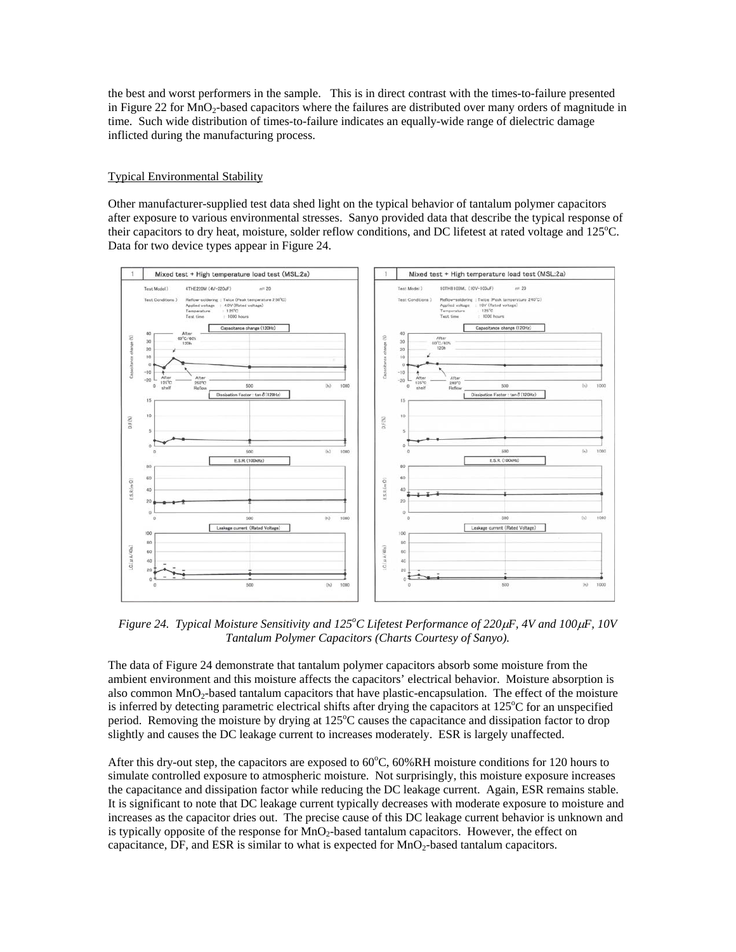the best and worst performers in the sample. This is in direct contrast with the times-to-failure presented in Figure 22 for MnO<sub>2</sub>-based capacitors where the failures are distributed over many orders of magnitude in time. Such wide distribution of times-to-failure indicates an equally-wide range of dielectric damage inflicted during the manufacturing process.

# Typical Environmental Stability

Other manufacturer-supplied test data shed light on the typical behavior of tantalum polymer capacitors after exposure to various environmental stresses. Sanyo provided data that describe the typical response of their capacitors to dry heat, moisture, solder reflow conditions, and DC lifetest at rated voltage and 125°C. Data for two device types appear in Figure 24.



*Figure 24. Typical Moisture Sensitivity and 125<sup>o</sup> C Lifetest Performance of 220*µ*F, 4V and 100*µ*F, 10V Tantalum Polymer Capacitors (Charts Courtesy of Sanyo).*

The data of Figure 24 demonstrate that tantalum polymer capacitors absorb some moisture from the ambient environment and this moisture affects the capacitors' electrical behavior. Moisture absorption is also common MnO<sub>2</sub>-based tantalum capacitors that have plastic-encapsulation. The effect of the moisture is inferred by detecting parametric electrical shifts after drying the capacitors at 125°C for an unspecified period. Removing the moisture by drying at 125°C causes the capacitance and dissipation factor to drop slightly and causes the DC leakage current to increases moderately. ESR is largely unaffected.

After this dry-out step, the capacitors are exposed to  $60^{\circ}$ C,  $60\%$ RH moisture conditions for 120 hours to simulate controlled exposure to atmospheric moisture. Not surprisingly, this moisture exposure increases the capacitance and dissipation factor while reducing the DC leakage current. Again, ESR remains stable. It is significant to note that DC leakage current typically decreases with moderate exposure to moisture and increases as the capacitor dries out. The precise cause of this DC leakage current behavior is unknown and is typically opposite of the response for  $MnO<sub>2</sub>$ -based tantalum capacitors. However, the effect on capacitance, DF, and ESR is similar to what is expected for  $MnO<sub>2</sub>$ -based tantalum capacitors.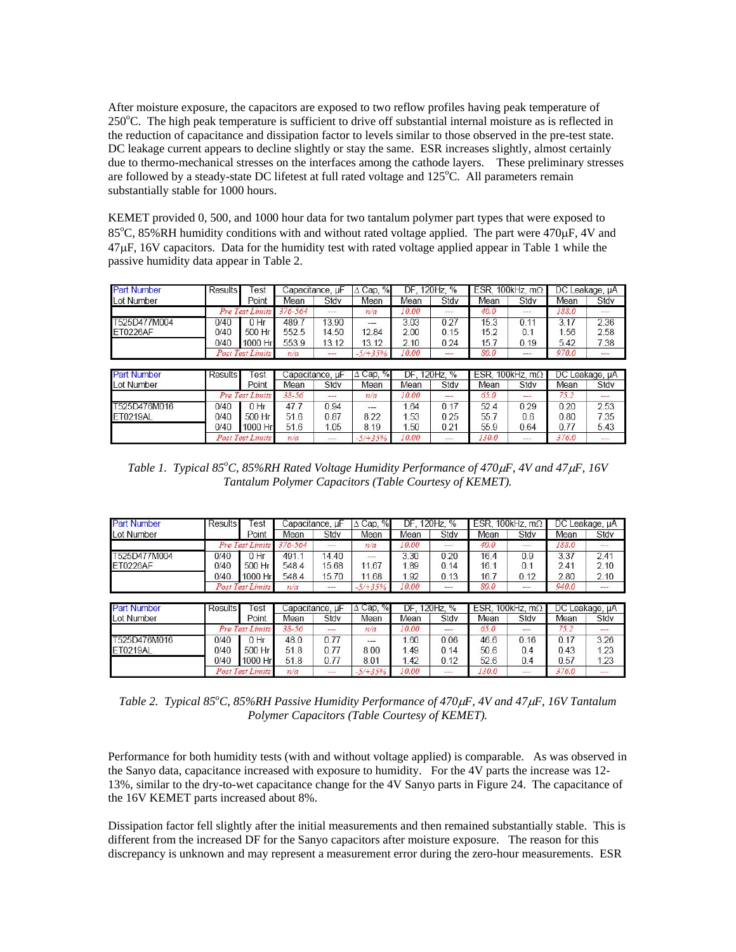After moisture exposure, the capacitors are exposed to two reflow profiles having peak temperature of 250°C. The high peak temperature is sufficient to drive off substantial internal moisture as is reflected in the reduction of capacitance and dissipation factor to levels similar to those observed in the pre-test state. DC leakage current appears to decline slightly or stay the same. ESR increases slightly, almost certainly due to thermo-mechanical stresses on the interfaces among the cathode layers. These preliminary stresses are followed by a steady-state DC lifetest at full rated voltage and 125°C. All parameters remain substantially stable for 1000 hours.

KEMET provided 0, 500, and 1000 hour data for two tantalum polymer part types that were exposed to 85°C, 85%RH humidity conditions with and without rated voltage applied. The part were 470µF, 4V and 47µF, 16V capacitors. Data for the humidity test with rated voltage applied appear in Table 1 while the passive humidity data appear in Table 2.

| <b>Part Number</b> | <b>Results</b>         | Test                    | Capacitance, µF |                 | $\triangle$ Cap, % | DF, 120Hz, %                    |      | ESR, 100kHz, $m\Omega$ |         | DC Leakage, µA |          |
|--------------------|------------------------|-------------------------|-----------------|-----------------|--------------------|---------------------------------|------|------------------------|---------|----------------|----------|
| <b>Lot Number</b>  |                        | Point                   | Mean            | Stdv            | Mean               | Mean                            | Stdv | Mean                   | Stdv    | Mean           | Stdv     |
|                    |                        | Pre Test Limits         | $376 - 564$     | ---             | n/a                | 10.00                           | $-$  | 40.0                   | ---     | 188.0          | $- - -$  |
| T525D477M004       | 0/40                   | $0$ Hr                  | 489.7           | 13.90           | $\overline{a}$     | 3.03                            | 0.27 | 15.3                   | 0.11    | 3.17           | 2.36     |
| ET0226AF           | 0/40                   | 500 Hr                  | 552.5           | 14.50           | 12.84              | 2.00                            | 0.15 | 15.2                   | 0.1     | 1.56           | 2.58     |
|                    | 0/40                   | 1000 Hr                 | 553.9           | 13.12           | 13.12              | 2.10                            | 0.24 | 15.7                   | 0.19    | 5.42           | 7.38     |
|                    |                        | <b>Post Test Limits</b> | n/a             | ---             | $-5/ + 35%$        | 10.00                           | ---  | 80.0                   | ---     | 970.0          | $\cdots$ |
|                    |                        |                         |                 |                 |                    |                                 |      |                        |         |                |          |
| <b>Part Number</b> |                        | Results<br>Test         |                 | Capacitance, uF |                    | $\Delta$ Cap, %<br>DF. 120Hz. % |      | ESR, 100kHz, $m\Omega$ |         | DC Leakage, µA |          |
| Lot Number         |                        | Point                   | Mean            | Stdv            | Mean               | Mean                            | Stdv | Mean                   | Stdv    | Mean           | Stdv     |
|                    | <b>Pre Test Limits</b> |                         | $38 - 56$       | ---             | n/a                | 10.00                           | ---  | 65.0                   | $- - -$ | 75.2           | ---      |
| T525D476M016       | 0/40                   | 0 <sub>hr</sub>         | 47.7            | 0.94            | $---$              | 1.64                            | 0.17 | 524                    | 0.29    | 0.20           | 2.53     |
| <b>ET0219AL</b>    | 0/40                   | 500 Hr                  | 51.6            | 0.87            | 8.22               | 1.53                            | 0.25 | 55.7                   | 0.6     | 0.80           | 7.35     |
|                    | 0/40                   | 1000 Hr                 | 51.6            | 1.05            | 8.19               | 1.50                            | 0.21 | 55.9                   | 0.64    | 0.77           | 5.43     |
|                    |                        | <b>Post Test Limits</b> | n/a             | ---             | $-5/ + 35%$        | 10.00                           | ---  | 130.0                  | ---     | 376.0          | ---      |

*Table 1. Typical 85<sup>o</sup> C, 85%RH Rated Voltage Humidity Performance of 470*µ*F, 4V and 47*µ*F, 16V Tantalum Polymer Capacitors (Table Courtesy of KEMET).*

| <b>Part Number</b> | Results               | est              | Capacitance, µF |                 | $\Delta$ Cap, % | DF. 120Hz. % |              | ESR. 100kHz, $m\Omega$ |                        | DC Leakage, µA |                |
|--------------------|-----------------------|------------------|-----------------|-----------------|-----------------|--------------|--------------|------------------------|------------------------|----------------|----------------|
| <b>Lot Number</b>  |                       | Point            | Mean            | Stdv            | Mean            | Mean         | Stdv         | Mean                   | Stdv                   | Mean           | Stdv           |
|                    |                       | Pre Test Limits  |                 | $-$             | n/a             | 10.00        | $---$        | 40.0                   | $-$                    | 188.0          | ---            |
| T525D477M004       | 0/40                  | $0$ Hr           | 4911            | 14.40           | ---             | 3.30         | 0.20         | 16.4                   | 0.9                    | 3.37           | 2.41           |
| ET0226AF           | 0/40                  | 500 Hr           | 548.4           | 15.68           | 11.67           | 1.89         | 0.14         | 16.1                   | 0.1                    | 2.41           | 2.10           |
|                    | 0/40                  | 1000 Hr          | 548.4           | 15.70           | 11.68           | 1.92         | 0.13         | 16.7                   | 0.12                   | 2.80           | 2.10           |
|                    |                       | Post Test Limits | n/a             | $-$             | $-5/ + 35\%$    | 10.00        | ---          | 80.0                   | $-$                    | 940.0          | $-$            |
|                    |                       |                  |                 |                 |                 |              |              |                        |                        |                |                |
| <b>Part Number</b> | <b>Results</b><br>est |                  |                 |                 |                 |              |              |                        |                        |                |                |
|                    |                       |                  |                 | Capacitance, µF | $\Delta$ Cap, % |              | DF. 120Hz. % |                        | ESR, 100kHz, $m\Omega$ |                | DC Leakage, µA |
| Lot Number         |                       | Point            | Mean            | Stdv            | Mean            | Mean         | Stdv         | Mean                   | Stdv                   | Mean           | Stdv           |
|                    |                       | Pre Test Limits  | $38 - 56$       | $-$             | n/a             | 10.00        | ---          | 65.0                   | ---                    | 75.2           | ---            |
| T525D476M016       | 0/40                  | 0 <sub>hr</sub>  | 48.0            | 0.77            |                 | .60          | 0.06         | 46.6                   | 0.16                   | 0.17           | 3.26           |
| ET0219AL           | 0/40                  | 500 Hr           | 51.8            | 0.77            | 8.00            | 1.49         | 0.14         | 50.6                   | 0.4                    | 0.43           | 1.23           |
|                    | 0/40                  | 1000 Hr          | 51.8            | 0.77            | 8.01            | 1.42         | 0.12         | 52.6                   | 0.4                    | 0.57           | 1.23           |

*Table 2. Typical 85<sup>o</sup> C, 85%RH Passive Humidity Performance of 470*µ*F, 4V and 47*µ*F, 16V Tantalum Polymer Capacitors (Table Courtesy of KEMET).*

 $n/a$ 

Performance for both humidity tests (with and without voltage applied) is comparable. As was observed in the Sanyo data, capacitance increased with exposure to humidity. For the 4V parts the increase was 12- 13%, similar to the dry-to-wet capacitance change for the 4V Sanyo parts in Figure 24. The capacitance of the 16V KEMET parts increased about 8%.

Dissipation factor fell slightly after the initial measurements and then remained substantially stable. This is different from the increased DF for the Sanyo capacitors after moisture exposure. The reason for this discrepancy is unknown and may represent a measurement error during the zero-hour measurements. ESR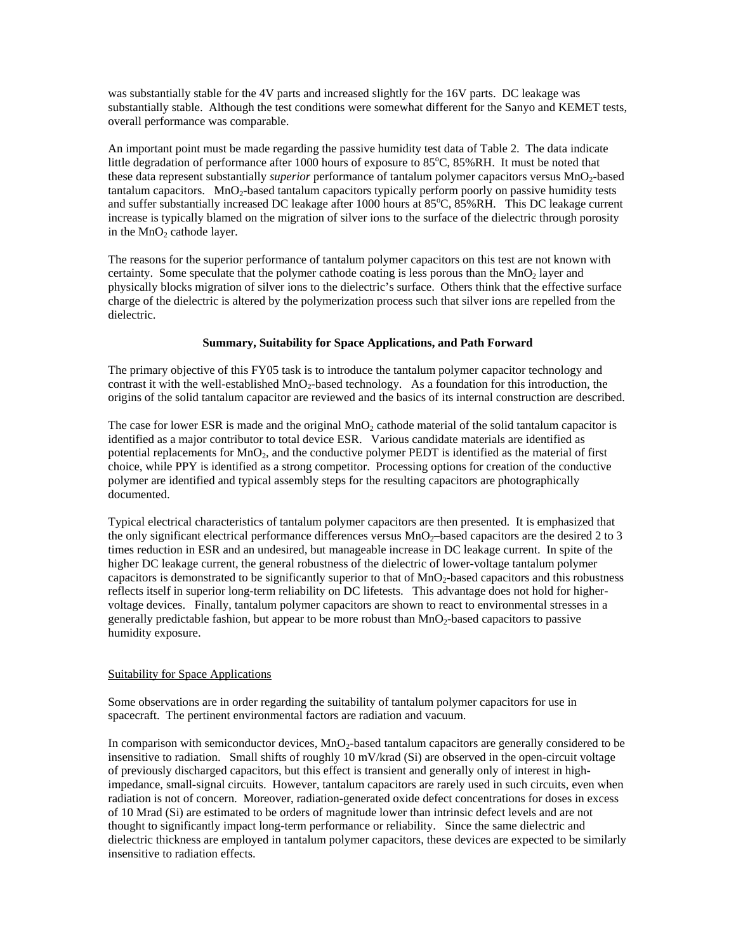was substantially stable for the 4V parts and increased slightly for the 16V parts. DC leakage was substantially stable. Although the test conditions were somewhat different for the Sanyo and KEMET tests, overall performance was comparable.

An important point must be made regarding the passive humidity test data of Table 2. The data indicate little degradation of performance after 1000 hours of exposure to 85°C, 85%RH. It must be noted that these data represent substantially *superior* performance of tantalum polymer capacitors versus MnO<sub>2</sub>-based  $t$ antalum capacitors. MnO<sub>2</sub>-based tantalum capacitors typically perform poorly on passive humidity tests and suffer substantially increased DC leakage after 1000 hours at 85°C, 85%RH. This DC leakage current increase is typically blamed on the migration of silver ions to the surface of the dielectric through porosity in the  $MnO<sub>2</sub>$  cathode layer.

The reasons for the superior performance of tantalum polymer capacitors on this test are not known with certainty. Some speculate that the polymer cathode coating is less porous than the  $MnO<sub>2</sub>$  layer and physically blocks migration of silver ions to the dielectric's surface. Others think that the effective surface charge of the dielectric is altered by the polymerization process such that silver ions are repelled from the dielectric.

### **Summary, Suitability for Space Applications, and Path Forward**

The primary objective of this FY05 task is to introduce the tantalum polymer capacitor technology and contrast it with the well-established MnO<sub>2</sub>-based technology. As a foundation for this introduction, the origins of the solid tantalum capacitor are reviewed and the basics of its internal construction are described.

The case for lower ESR is made and the original  $MnO<sub>2</sub>$  cathode material of the solid tantalum capacitor is identified as a major contributor to total device ESR. Various candidate materials are identified as potential replacements for  $MnO<sub>2</sub>$ , and the conductive polymer PEDT is identified as the material of first choice, while PPY is identified as a strong competitor. Processing options for creation of the conductive polymer are identified and typical assembly steps for the resulting capacitors are photographically documented.

Typical electrical characteristics of tantalum polymer capacitors are then presented. It is emphasized that the only significant electrical performance differences versus  $MnO<sub>2</sub>$ –based capacitors are the desired 2 to 3 times reduction in ESR and an undesired, but manageable increase in DC leakage current. In spite of the higher DC leakage current, the general robustness of the dielectric of lower-voltage tantalum polymer capacitors is demonstrated to be significantly superior to that of MnO2-based capacitors and this robustness reflects itself in superior long-term reliability on DC lifetests. This advantage does not hold for highervoltage devices. Finally, tantalum polymer capacitors are shown to react to environmental stresses in a generally predictable fashion, but appear to be more robust than MnO<sub>2</sub>-based capacitors to passive humidity exposure.

# Suitability for Space Applications

Some observations are in order regarding the suitability of tantalum polymer capacitors for use in spacecraft. The pertinent environmental factors are radiation and vacuum.

In comparison with semiconductor devices,  $MnO<sub>2</sub>$ -based tantalum capacitors are generally considered to be insensitive to radiation. Small shifts of roughly 10 mV/krad (Si) are observed in the open-circuit voltage of previously discharged capacitors, but this effect is transient and generally only of interest in highimpedance, small-signal circuits. However, tantalum capacitors are rarely used in such circuits, even when radiation is not of concern. Moreover, radiation-generated oxide defect concentrations for doses in excess of 10 Mrad (Si) are estimated to be orders of magnitude lower than intrinsic defect levels and are not thought to significantly impact long-term performance or reliability. Since the same dielectric and dielectric thickness are employed in tantalum polymer capacitors, these devices are expected to be similarly insensitive to radiation effects.